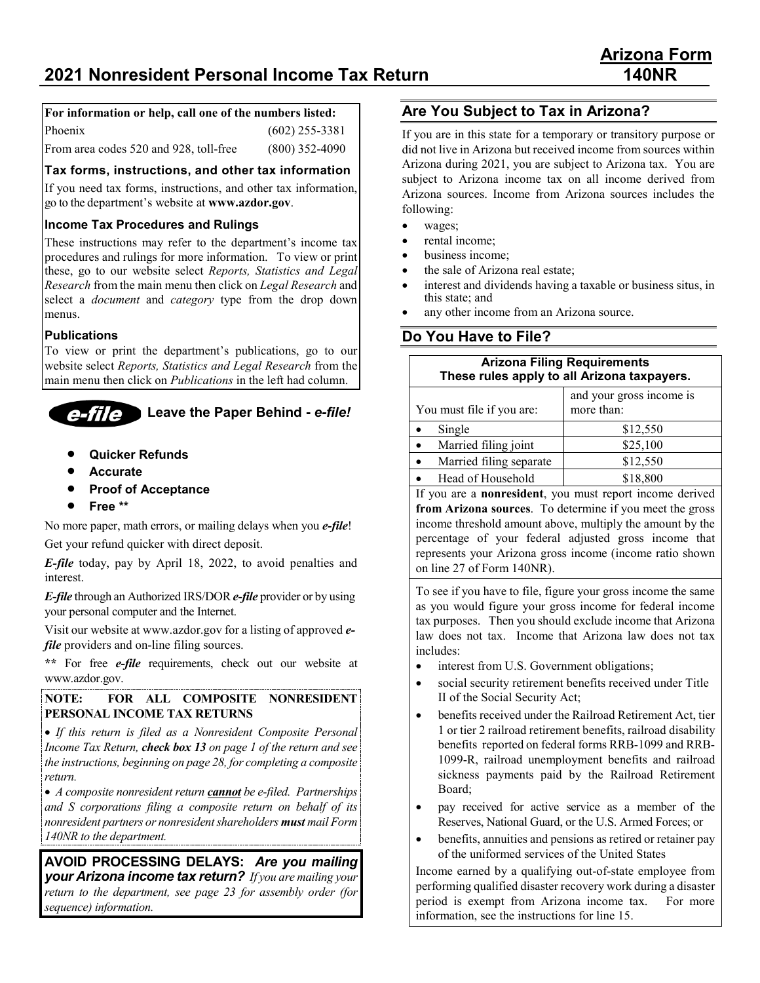## **For information or help, call one of the numbers listed:**

| Phoenix                                | $(602)$ 255-3381 |
|----------------------------------------|------------------|
| From area codes 520 and 928, toll-free | $(800)$ 352-4090 |

#### **Tax forms, instructions, and other tax information**

If you need tax forms, instructions, and other tax information, go to the department's website at **www.azdor.gov**.

### **Income Tax Procedures and Rulings**

These instructions may refer to the department's income tax procedures and rulings for more information. To view or print these, go to our website select *Reports, Statistics and Legal Research* from the main menu then click on *Legal Research* and select a *document* and *category* type from the drop down menus.

#### **Publications**

To view or print the department's publications, go to our website select *Reports, Statistics and Legal Research* from the main menu then click on *Publications* in the left had column.

#### **Leave the Paper Behind -** *e-file!* eme

- **Quicker Refunds**
- **Accurate**
- **Proof of Acceptance**
- **Free \*\***

No more paper, math errors, or mailing delays when you *e-file*!

Get your refund quicker with direct deposit.

*E-file* today, pay by April 18, 2022, to avoid penalties and interest.

*E-file* through an Authorized IRS/DOR *e-file* provider or by using your personal computer and the Internet.

Visit our website at www.azdor.gov for a listing of approved *efile* providers and on-line filing sources.

**\*\*** For free *e-file* requirements, check out our website at www.azdor.gov.

#### **NOTE: FOR ALL COMPOSITE NONRESIDENT PERSONAL INCOME TAX RETURNS**

• *If this return is filed as a Nonresident Composite Personal Income Tax Return, check box 13 on page 1 of the return and see the instructions, beginning on page 28, for completing a composite return.*

• *A composite nonresident return cannot be e-filed. Partnerships and S corporations filing a composite return on behalf of its nonresident partners or nonresident shareholders must mail Form 140NR to the department.*

**AVOID PROCESSING DELAYS:** *Are you mailing your Arizona income tax return? If you are mailing your return to the department, see page 23 for assembly order (for sequence) information.*

## **Are You Subject to Tax in Arizona?**

If you are in this state for a temporary or transitory purpose or did not live in Arizona but received income from sources within Arizona during 2021, you are subject to Arizona tax. You are subject to Arizona income tax on all income derived from Arizona sources. Income from Arizona sources includes the following:

- wages;
- rental income;
- business income;
- the sale of Arizona real estate;
- interest and dividends having a taxable or business situs, in this state; and
- any other income from an Arizona source.

## **Do You Have to File?**

| <b>Arizona Filing Requirements</b><br>These rules apply to all Arizona taxpayers.                                                   |          |  |  |
|-------------------------------------------------------------------------------------------------------------------------------------|----------|--|--|
| and your gross income is<br>more than:<br>You must file if you are:                                                                 |          |  |  |
| Single                                                                                                                              | \$12,550 |  |  |
| Married filing joint                                                                                                                | \$25,100 |  |  |
| \$12,550<br>Married filing separate                                                                                                 |          |  |  |
| \$18,800<br>Head of Household                                                                                                       |          |  |  |
| If you are a <b>nonresident</b> , you must report income derived                                                                    |          |  |  |
| $\mathbf{c}$ and $\mathbf{c}$ and $\mathbf{c}$ and $\mathbf{c}$ and $\mathbf{c}$ and $\mathbf{c}$ and $\mathbf{c}$ and $\mathbf{c}$ |          |  |  |

**from Arizona sources**. To determine if you meet the gross income threshold amount above, multiply the amount by the percentage of your federal adjusted gross income that represents your Arizona gross income (income ratio shown on line 27 of Form 140NR).

To see if you have to file, figure your gross income the same as you would figure your gross income for federal income tax purposes. Then you should exclude income that Arizona law does not tax. Income that Arizona law does not tax includes:

- interest from U.S. Government obligations;
- social security retirement benefits received under Title II of the Social Security Act;
- benefits received under the Railroad Retirement Act, tier 1 or tier 2 railroad retirement benefits, railroad disability benefits reported on federal forms RRB-1099 and RRB-1099-R, railroad unemployment benefits and railroad sickness payments paid by the Railroad Retirement Board;
- pay received for active service as a member of the Reserves, National Guard, or the U.S. Armed Forces; or
- benefits, annuities and pensions as retired or retainer pay of the uniformed services of the United States

Income earned by a qualifying out-of-state employee from performing qualified disaster recovery work during a disaster period is exempt from Arizona income tax. For more information, see the instructions for line 15.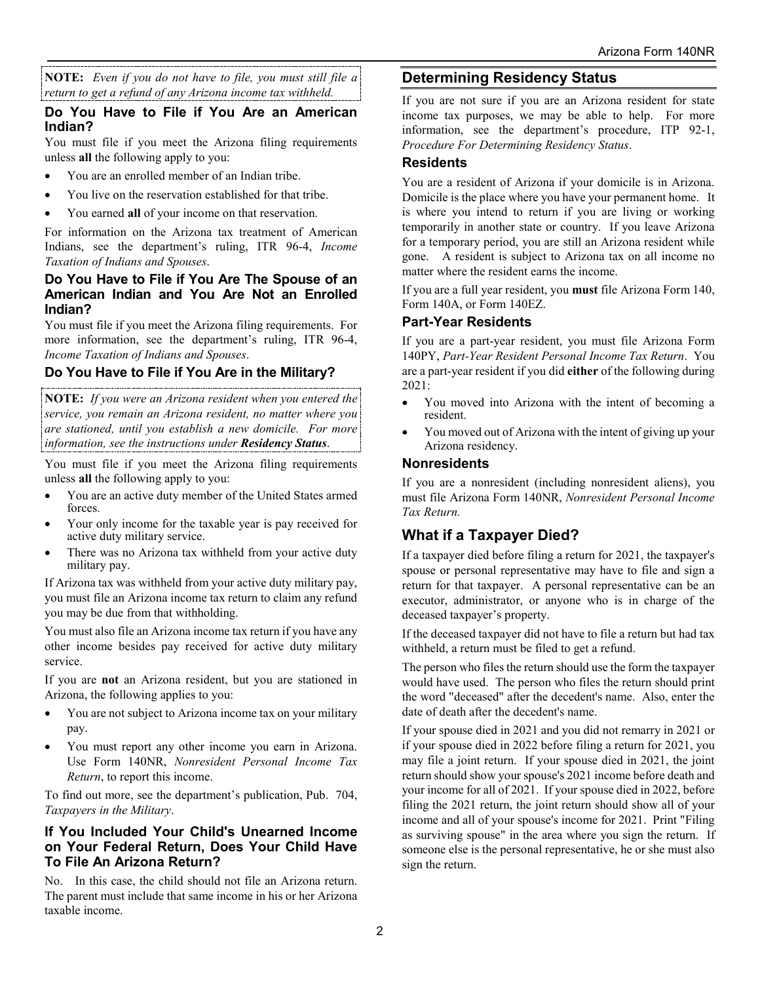**NOTE:** *Even if you do not have to file, you must still file a return to get a refund of any Arizona income tax withheld.*

#### **Do You Have to File if You Are an American Indian?**

You must file if you meet the Arizona filing requirements unless **all** the following apply to you:

- You are an enrolled member of an Indian tribe.
- You live on the reservation established for that tribe.
- You earned **all** of your income on that reservation.

For information on the Arizona tax treatment of American Indians, see the department's ruling, ITR 96-4, *Income Taxation of Indians and Spouses*.

#### **Do You Have to File if You Are The Spouse of an American Indian and You Are Not an Enrolled Indian?**

You must file if you meet the Arizona filing requirements. For more information, see the department's ruling, ITR 96-4, *Income Taxation of Indians and Spouses*.

## **Do You Have to File if You Are in the Military?**

**NOTE:** *If you were an Arizona resident when you entered the service, you remain an Arizona resident, no matter where you are stationed, until you establish a new domicile. For more information, see the instructions under Residency Status*.

You must file if you meet the Arizona filing requirements unless **all** the following apply to you:

- You are an active duty member of the United States armed forces.
- Your only income for the taxable year is pay received for active duty military service.
- There was no Arizona tax withheld from your active duty military pay.

If Arizona tax was withheld from your active duty military pay, you must file an Arizona income tax return to claim any refund you may be due from that withholding.

You must also file an Arizona income tax return if you have any other income besides pay received for active duty military service.

If you are **not** an Arizona resident, but you are stationed in Arizona, the following applies to you:

- You are not subject to Arizona income tax on your military pay.
- You must report any other income you earn in Arizona. Use Form 140NR, *Nonresident Personal Income Tax Return*, to report this income.

To find out more, see the department's publication, Pub. 704, *Taxpayers in the Military*.

#### **If You Included Your Child's Unearned Income on Your Federal Return, Does Your Child Have To File An Arizona Return?**

No. In this case, the child should not file an Arizona return. The parent must include that same income in his or her Arizona taxable income.

## **Determining Residency Status**

If you are not sure if you are an Arizona resident for state income tax purposes, we may be able to help. For more information, see the department's procedure, ITP 92-1, *Procedure For Determining Residency Status*.

## **Residents**

You are a resident of Arizona if your domicile is in Arizona. Domicile is the place where you have your permanent home. It is where you intend to return if you are living or working temporarily in another state or country. If you leave Arizona for a temporary period, you are still an Arizona resident while gone. A resident is subject to Arizona tax on all income no matter where the resident earns the income.

If you are a full year resident, you **must** file Arizona Form 140, Form 140A, or Form 140EZ.

### **Part-Year Residents**

If you are a part-year resident, you must file Arizona Form 140PY, *Part-Year Resident Personal Income Tax Return*. You are a part-year resident if you did **either** of the following during 2021:

- You moved into Arizona with the intent of becoming a resident.
- You moved out of Arizona with the intent of giving up your Arizona residency.

#### **Nonresidents**

If you are a nonresident (including nonresident aliens), you must file Arizona Form 140NR, *Nonresident Personal Income Tax Return.*

## **What if a Taxpayer Died?**

If a taxpayer died before filing a return for 2021, the taxpayer's spouse or personal representative may have to file and sign a return for that taxpayer. A personal representative can be an executor, administrator, or anyone who is in charge of the deceased taxpayer's property.

If the deceased taxpayer did not have to file a return but had tax withheld, a return must be filed to get a refund.

The person who files the return should use the form the taxpayer would have used. The person who files the return should print the word "deceased" after the decedent's name. Also, enter the date of death after the decedent's name.

If your spouse died in 2021 and you did not remarry in 2021 or if your spouse died in 2022 before filing a return for 2021, you may file a joint return. If your spouse died in 2021, the joint return should show your spouse's 2021 income before death and your income for all of 2021. If your spouse died in 2022, before filing the 2021 return, the joint return should show all of your income and all of your spouse's income for 2021. Print "Filing as surviving spouse" in the area where you sign the return. If someone else is the personal representative, he or she must also sign the return.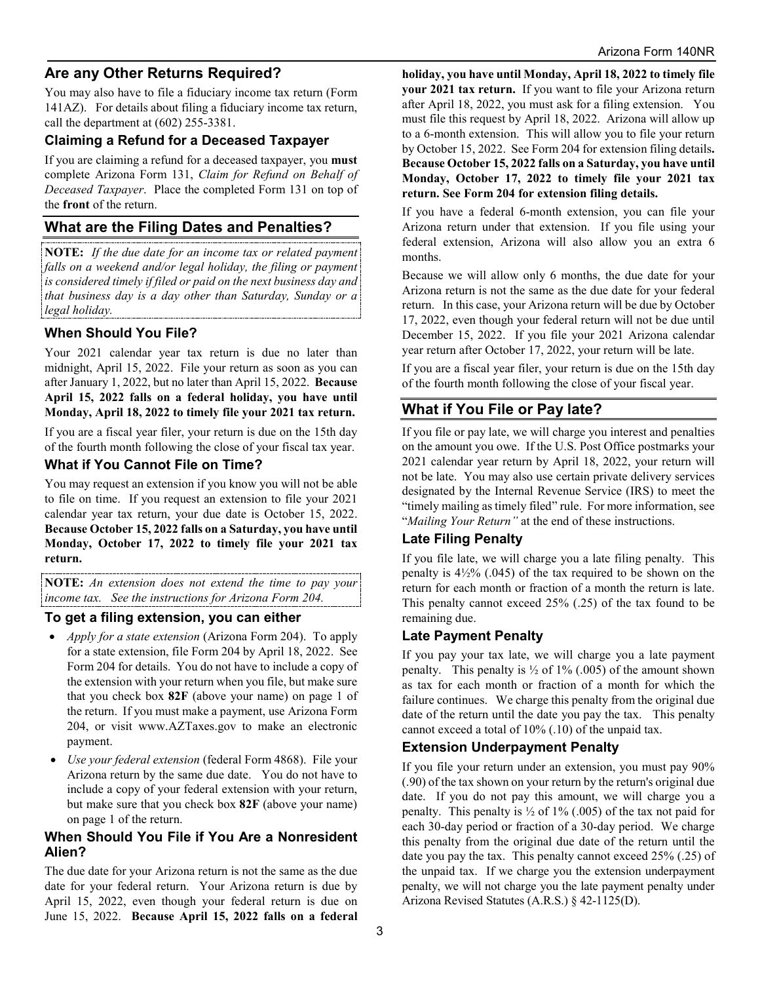## **Are any Other Returns Required?**

You may also have to file a fiduciary income tax return (Form 141AZ). For details about filing a fiduciary income tax return, call the department at (602) 255-3381.

#### **Claiming a Refund for a Deceased Taxpayer**

If you are claiming a refund for a deceased taxpayer, you **must** complete Arizona Form 131, *Claim for Refund on Behalf of Deceased Taxpayer*. Place the completed Form 131 on top of the **front** of the return.

## **What are the Filing Dates and Penalties?**

**NOTE:** *If the due date for an income tax or related payment*  falls on a weekend and/or legal holiday, the filing or payment *is considered timely if filed or paid on the next business day and that business day is a day other than Saturday, Sunday or a legal holiday.*

### **When Should You File?**

Your 2021 calendar year tax return is due no later than midnight, April 15, 2022. File your return as soon as you can after January 1, 2022, but no later than April 15, 2022. **Because April 15, 2022 falls on a federal holiday, you have until Monday, April 18, 2022 to timely file your 2021 tax return.**

If you are a fiscal year filer, your return is due on the 15th day of the fourth month following the close of your fiscal tax year.

### **What if You Cannot File on Time?**

You may request an extension if you know you will not be able to file on time. If you request an extension to file your 2021 calendar year tax return, your due date is October 15, 2022. **Because October 15, 2022 falls on a Saturday, you have until Monday, October 17, 2022 to timely file your 2021 tax return.**

**NOTE:** *An extension does not extend the time to pay your income tax. See the instructions for Arizona Form 204.*

## **To get a filing extension, you can either**

- *Apply for a state extension* (Arizona Form 204). To apply for a state extension, file Form 204 by April 18, 2022. See Form 204 for details. You do not have to include a copy of the extension with your return when you file, but make sure that you check box **82F** (above your name) on page 1 of the return. If you must make a payment, use Arizona Form 204, or visit www.AZTaxes.gov to make an electronic payment.
- *Use your federal extension* (federal Form 4868). File your Arizona return by the same due date. You do not have to include a copy of your federal extension with your return, but make sure that you check box **82F** (above your name) on page 1 of the return.

## **When Should You File if You Are a Nonresident Alien?**

The due date for your Arizona return is not the same as the due date for your federal return. Your Arizona return is due by April 15, 2022, even though your federal return is due on June 15, 2022. **Because April 15, 2022 falls on a federal**  **holiday, you have until Monday, April 18, 2022 to timely file your 2021 tax return.**If you want to file your Arizona return after April 18, 2022, you must ask for a filing extension. You must file this request by April 18, 2022. Arizona will allow up to a 6-month extension. This will allow you to file your return by October 15, 2022. See Form 204 for extension filing details**. Because October 15, 2022 falls on a Saturday, you have until Monday, October 17, 2022 to timely file your 2021 tax return. See Form 204 for extension filing details.**

If you have a federal 6-month extension, you can file your Arizona return under that extension. If you file using your federal extension, Arizona will also allow you an extra 6 months.

Because we will allow only 6 months, the due date for your Arizona return is not the same as the due date for your federal return. In this case, your Arizona return will be due by October 17, 2022, even though your federal return will not be due until December 15, 2022. If you file your 2021 Arizona calendar year return after October 17, 2022, your return will be late.

If you are a fiscal year filer, your return is due on the 15th day of the fourth month following the close of your fiscal year.

## **What if You File or Pay late?**

If you file or pay late, we will charge you interest and penalties on the amount you owe. If the U.S. Post Office postmarks your 2021 calendar year return by April 18, 2022, your return will not be late. You may also use certain private delivery services designated by the Internal Revenue Service (IRS) to meet the "timely mailing as timely filed" rule. For more information, see "*Mailing Your Return"* at the end of these instructions.

## **Late Filing Penalty**

If you file late, we will charge you a late filing penalty. This penalty is  $4\frac{1}{2}\%$  (.045) of the tax required to be shown on the return for each month or fraction of a month the return is late. This penalty cannot exceed 25% (.25) of the tax found to be remaining due.

## **Late Payment Penalty**

If you pay your tax late, we will charge you a late payment penalty. This penalty is  $\frac{1}{2}$  of 1% (.005) of the amount shown as tax for each month or fraction of a month for which the failure continues. We charge this penalty from the original due date of the return until the date you pay the tax. This penalty cannot exceed a total of 10% (.10) of the unpaid tax.

## **Extension Underpayment Penalty**

If you file your return under an extension, you must pay 90% (.90) of the tax shown on your return by the return's original due date. If you do not pay this amount, we will charge you a penalty. This penalty is  $\frac{1}{2}$  of 1% (.005) of the tax not paid for each 30-day period or fraction of a 30-day period. We charge this penalty from the original due date of the return until the date you pay the tax. This penalty cannot exceed 25% (.25) of the unpaid tax. If we charge you the extension underpayment penalty, we will not charge you the late payment penalty under Arizona Revised Statutes (A.R.S.) § 42-1125(D).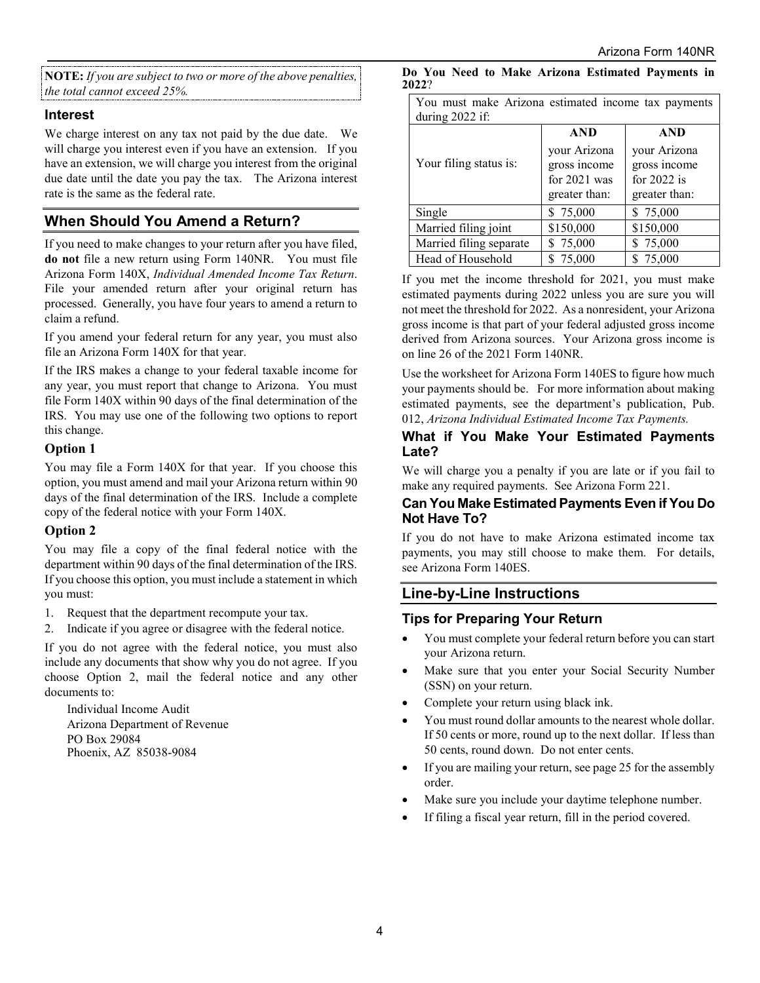**NOTE:** *If you are subject to two or more of the above penalties, the total cannot exceed 25%.*

#### **Interest**

We charge interest on any tax not paid by the due date. We will charge you interest even if you have an extension. If you have an extension, we will charge you interest from the original due date until the date you pay the tax. The Arizona interest rate is the same as the federal rate.

## **When Should You Amend a Return?**

If you need to make changes to your return after you have filed, **do not** file a new return using Form 140NR. You must file Arizona Form 140X, *Individual Amended Income Tax Return*. File your amended return after your original return has processed. Generally, you have four years to amend a return to claim a refund.

If you amend your federal return for any year, you must also file an Arizona Form 140X for that year.

If the IRS makes a change to your federal taxable income for any year, you must report that change to Arizona. You must file Form 140X within 90 days of the final determination of the IRS. You may use one of the following two options to report this change.

#### **Option 1**

You may file a Form 140X for that year. If you choose this option, you must amend and mail your Arizona return within 90 days of the final determination of the IRS. Include a complete copy of the federal notice with your Form 140X.

#### **Option 2**

You may file a copy of the final federal notice with the department within 90 days of the final determination of the IRS. If you choose this option, you must include a statement in which you must:

- 1. Request that the department recompute your tax.
- 2. Indicate if you agree or disagree with the federal notice.

If you do not agree with the federal notice, you must also include any documents that show why you do not agree. If you choose Option 2, mail the federal notice and any other documents to:

Individual Income Audit Arizona Department of Revenue PO Box 29084 Phoenix, AZ 85038-9084

| You must make Arizona estimated income tax payments |                |               |  |
|-----------------------------------------------------|----------------|---------------|--|
| during 2022 if:                                     |                |               |  |
|                                                     | <b>AND</b>     | <b>AND</b>    |  |
|                                                     | your Arizona   | your Arizona  |  |
| Your filing status is:                              | gross income   | gross income  |  |
|                                                     | for $2021$ was | for $2022$ is |  |
|                                                     | greater than:  | greater than: |  |
| Single                                              | \$75,000       | \$75,000      |  |
| Married filing joint                                | \$150,000      | \$150,000     |  |
| Married filing separate                             | \$75,000       | \$75,000      |  |
| Head of Household                                   | 75,000         | \$75,000      |  |

If you met the income threshold for 2021, you must make estimated payments during 2022 unless you are sure you will not meet the threshold for 2022. As a nonresident, your Arizona gross income is that part of your federal adjusted gross income derived from Arizona sources. Your Arizona gross income is on line 26 of the 2021 Form 140NR.

Use the worksheet for Arizona Form 140ES to figure how much your payments should be. For more information about making estimated payments, see the department's publication, Pub. 012, *Arizona Individual Estimated Income Tax Payments.*

#### **What if You Make Your Estimated Payments Late?**

We will charge you a penalty if you are late or if you fail to make any required payments. See Arizona Form 221.

### **Can You Make Estimated Payments Even if You Do Not Have To?**

If you do not have to make Arizona estimated income tax payments, you may still choose to make them. For details, see Arizona Form 140ES.

## **Line-by-Line Instructions**

## **Tips for Preparing Your Return**

- You must complete your federal return before you can start your Arizona return.
- Make sure that you enter your Social Security Number (SSN) on your return.
- Complete your return using black ink.
- You must round dollar amounts to the nearest whole dollar. If 50 cents or more, round up to the next dollar. If less than 50 cents, round down. Do not enter cents.
- If you are mailing your return, see page 25 for the assembly order.
- Make sure you include your daytime telephone number.
- If filing a fiscal year return, fill in the period covered.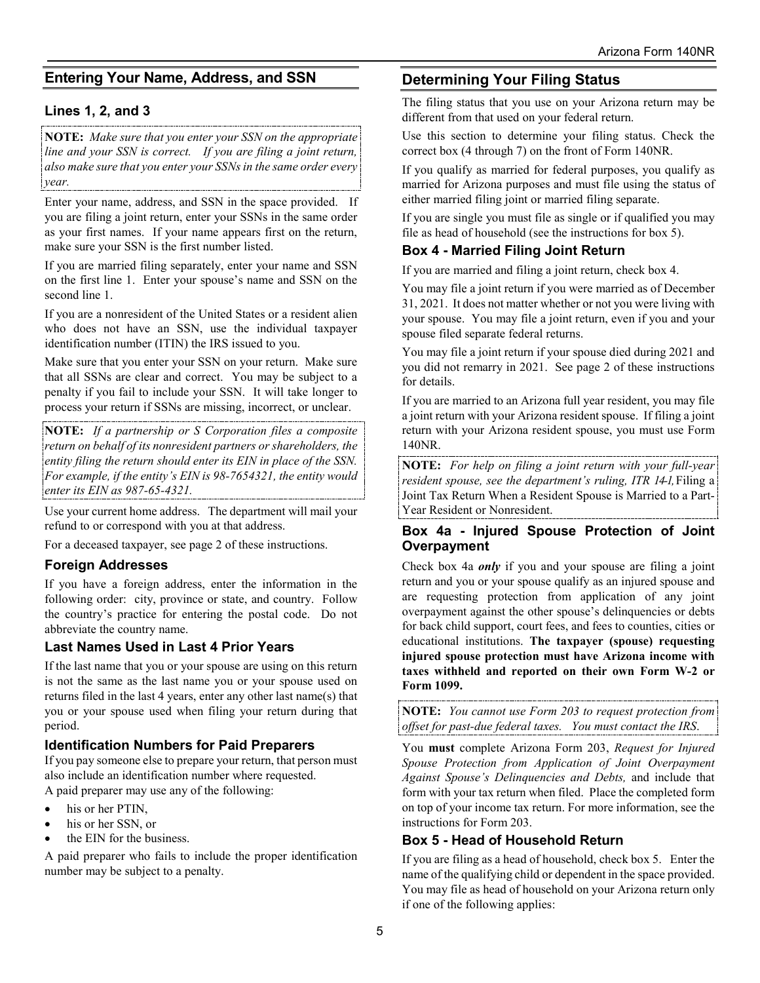## **Entering Your Name, Address, and SSN**

## **Lines 1, 2, and 3**

**NOTE:** *Make sure that you enter your SSN on the appropriate line and your SSN is correct. If you are filing a joint return, also make sure that you enter your SSNs in the same order every year.* 

Enter your name, address, and SSN in the space provided. If you are filing a joint return, enter your SSNs in the same order as your first names. If your name appears first on the return, make sure your SSN is the first number listed.

If you are married filing separately, enter your name and SSN on the first line 1. Enter your spouse's name and SSN on the second line 1.

If you are a nonresident of the United States or a resident alien who does not have an SSN, use the individual taxpayer identification number (ITIN) the IRS issued to you.

Make sure that you enter your SSN on your return. Make sure that all SSNs are clear and correct. You may be subject to a penalty if you fail to include your SSN. It will take longer to process your return if SSNs are missing, incorrect, or unclear.

**NOTE:** *If a partnership or S Corporation files a composite return on behalf of its nonresident partners or shareholders, the entity filing the return should enter its EIN in place of the SSN. For example, if the entity's EIN is 98-7654321, the entity would enter its EIN as 987-65-4321.* 

Use your current home address. The department will mail your refund to or correspond with you at that address.

For a deceased taxpayer, see page 2 of these instructions.

#### **Foreign Addresses**

If you have a foreign address, enter the information in the following order: city, province or state, and country. Follow the country's practice for entering the postal code. Do not abbreviate the country name.

#### **Last Names Used in Last 4 Prior Years**

If the last name that you or your spouse are using on this return is not the same as the last name you or your spouse used on returns filed in the last 4 years, enter any other last name(s) that you or your spouse used when filing your return during that period.

#### **Identification Numbers for Paid Preparers**

If you pay someone else to prepare your return, that person must also include an identification number where requested. A paid preparer may use any of the following:

- his or her PTIN.
- his or her SSN, or
- the EIN for the business.

A paid preparer who fails to include the proper identification number may be subject to a penalty.

## **Determining Your Filing Status**

The filing status that you use on your Arizona return may be different from that used on your federal return.

Use this section to determine your filing status. Check the correct box (4 through 7) on the front of Form 140NR.

If you qualify as married for federal purposes, you qualify as married for Arizona purposes and must file using the status of either married filing joint or married filing separate.

If you are single you must file as single or if qualified you may file as head of household (see the instructions for box 5).

## **Box 4 - Married Filing Joint Return**

If you are married and filing a joint return, check box 4.

You may file a joint return if you were married as of December 31, 2021. It does not matter whether or not you were living with your spouse. You may file a joint return, even if you and your spouse filed separate federal returns.

You may file a joint return if your spouse died during 2021 and you did not remarry in 2021. See page 2 of these instructions for details.

If you are married to an Arizona full year resident, you may file a joint return with your Arizona resident spouse. If filing a joint return with your Arizona resident spouse, you must use Form 140NR.

**NOTE:** *For help on filing a joint return with your full-year resident spouse, see the department's ruling, ITR 14-1,* Filing a Joint Tax Return When a Resident Spouse is Married to a Part-Year Resident or Nonresident.

#### **Box 4a - Injured Spouse Protection of Joint Overpayment**

Check box 4a *only* if you and your spouse are filing a joint return and you or your spouse qualify as an injured spouse and are requesting protection from application of any joint overpayment against the other spouse's delinquencies or debts for back child support, court fees, and fees to counties, cities or educational institutions. **The taxpayer (spouse) requesting injured spouse protection must have Arizona income with taxes withheld and reported on their own Form W-2 or Form 1099.**

**NOTE:** *You cannot use Form 203 to request protection from offset for past-due federal taxes. You must contact the IRS*.

You **must** complete Arizona Form 203, *Request for Injured Spouse Protection from Application of Joint Overpayment Against Spouse's Delinquencies and Debts,* and include that form with your tax return when filed. Place the completed form on top of your income tax return. For more information, see the instructions for Form 203.

## **Box 5 - Head of Household Return**

If you are filing as a head of household, check box 5. Enter the name of the qualifying child or dependent in the space provided. You may file as head of household on your Arizona return only if one of the following applies: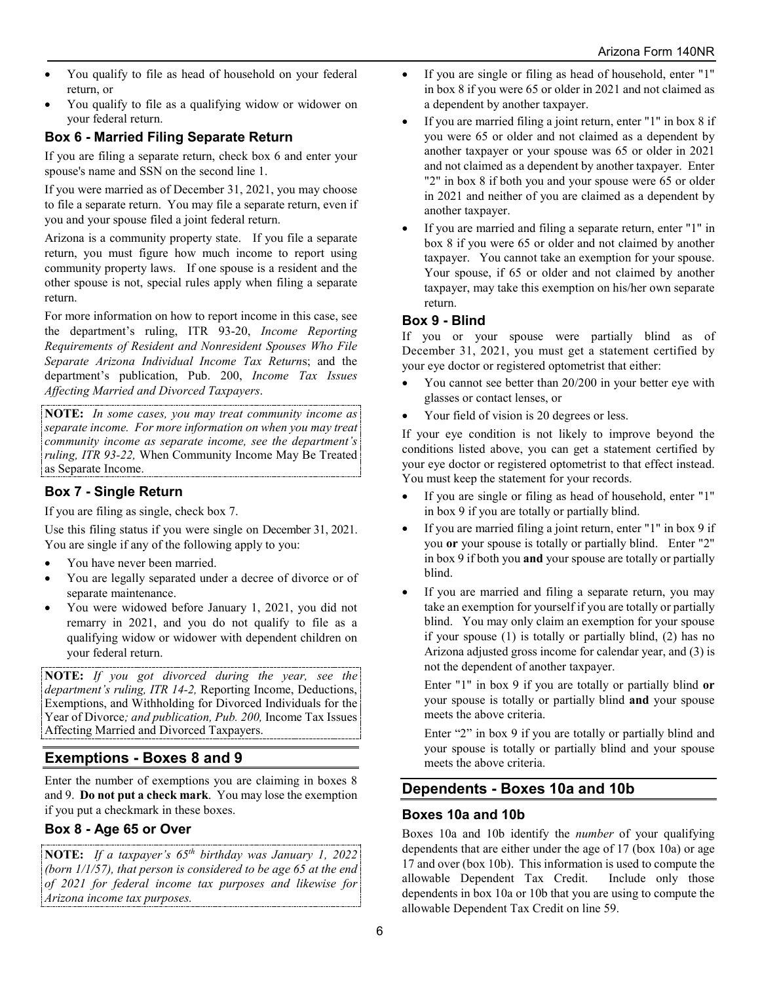- You qualify to file as head of household on your federal return, or
- You qualify to file as a qualifying widow or widower on your federal return.

## **Box 6 - Married Filing Separate Return**

If you are filing a separate return, check box 6 and enter your spouse's name and SSN on the second line 1.

If you were married as of December 31, 2021, you may choose to file a separate return. You may file a separate return, even if you and your spouse filed a joint federal return.

Arizona is a community property state. If you file a separate return, you must figure how much income to report using community property laws. If one spouse is a resident and the other spouse is not, special rules apply when filing a separate return.

For more information on how to report income in this case, see the department's ruling, ITR 93-20, *Income Reporting Requirements of Resident and Nonresident Spouses Who File Separate Arizona Individual Income Tax Return*s; and the department's publication, Pub. 200, *Income Tax Issues Affecting Married and Divorced Taxpayers*.

**NOTE:** *In some cases, you may treat community income as separate income. For more information on when you may treat community income as separate income, see the department's ruling, ITR 93-22,* When Community Income May Be Treated as Separate Income.

## **Box 7 - Single Return**

If you are filing as single, check box 7.

Use this filing status if you were single on December 31, 2021. You are single if any of the following apply to you:

- You have never been married.
- You are legally separated under a decree of divorce or of separate maintenance.
- You were widowed before January 1, 2021, you did not remarry in 2021, and you do not qualify to file as a qualifying widow or widower with dependent children on your federal return.

**NOTE:** *If you got divorced during the year, see the department's ruling, ITR 14-2,* Reporting Income, Deductions, Exemptions, and Withholding for Divorced Individuals for the Year of Divorce*; and publication, Pub. 200,* Income Tax Issues Affecting Married and Divorced Taxpayers.

## **Exemptions - Boxes 8 and 9**

Enter the number of exemptions you are claiming in boxes 8 and 9. **Do not put a check mark**. You may lose the exemption if you put a checkmark in these boxes.

## **Box 8 - Age 65 or Over**

**NOTE:** *If a taxpayer's 65th birthday was January 1, 2022 (born 1/1/57), that person is considered to be age 65 at the end of 2021 for federal income tax purposes and likewise for Arizona income tax purposes.*

- If you are single or filing as head of household, enter "1" in box 8 if you were 65 or older in 2021 and not claimed as a dependent by another taxpayer.
- If you are married filing a joint return, enter "1" in box 8 if you were 65 or older and not claimed as a dependent by another taxpayer or your spouse was 65 or older in 2021 and not claimed as a dependent by another taxpayer. Enter "2" in box 8 if both you and your spouse were 65 or older in 2021 and neither of you are claimed as a dependent by another taxpayer.
- If you are married and filing a separate return, enter "1" in box 8 if you were 65 or older and not claimed by another taxpayer. You cannot take an exemption for your spouse. Your spouse, if 65 or older and not claimed by another taxpayer, may take this exemption on his/her own separate return.

## **Box 9 - Blind**

If you or your spouse were partially blind as of December 31, 2021, you must get a statement certified by your eye doctor or registered optometrist that either:

- You cannot see better than 20/200 in your better eye with glasses or contact lenses, or
- Your field of vision is 20 degrees or less.

If your eye condition is not likely to improve beyond the conditions listed above, you can get a statement certified by your eye doctor or registered optometrist to that effect instead. You must keep the statement for your records.

- If you are single or filing as head of household, enter "1" in box 9 if you are totally or partially blind.
- If you are married filing a joint return, enter "1" in box 9 if you **or** your spouse is totally or partially blind. Enter "2" in box 9 if both you **and** your spouse are totally or partially blind.
- If you are married and filing a separate return, you may take an exemption for yourself if you are totally or partially blind. You may only claim an exemption for your spouse if your spouse (1) is totally or partially blind, (2) has no Arizona adjusted gross income for calendar year, and (3) is not the dependent of another taxpayer.

Enter "1" in box 9 if you are totally or partially blind **or** your spouse is totally or partially blind **and** your spouse meets the above criteria.

Enter "2" in box 9 if you are totally or partially blind and your spouse is totally or partially blind and your spouse meets the above criteria.

## **Dependents - Boxes 10a and 10b**

## **Boxes 10a and 10b**

Boxes 10a and 10b identify the *number* of your qualifying dependents that are either under the age of 17 (box 10a) or age 17 and over (box 10b). This information is used to compute the allowable Dependent Tax Credit. Include only those dependents in box 10a or 10b that you are using to compute the allowable Dependent Tax Credit on line 59.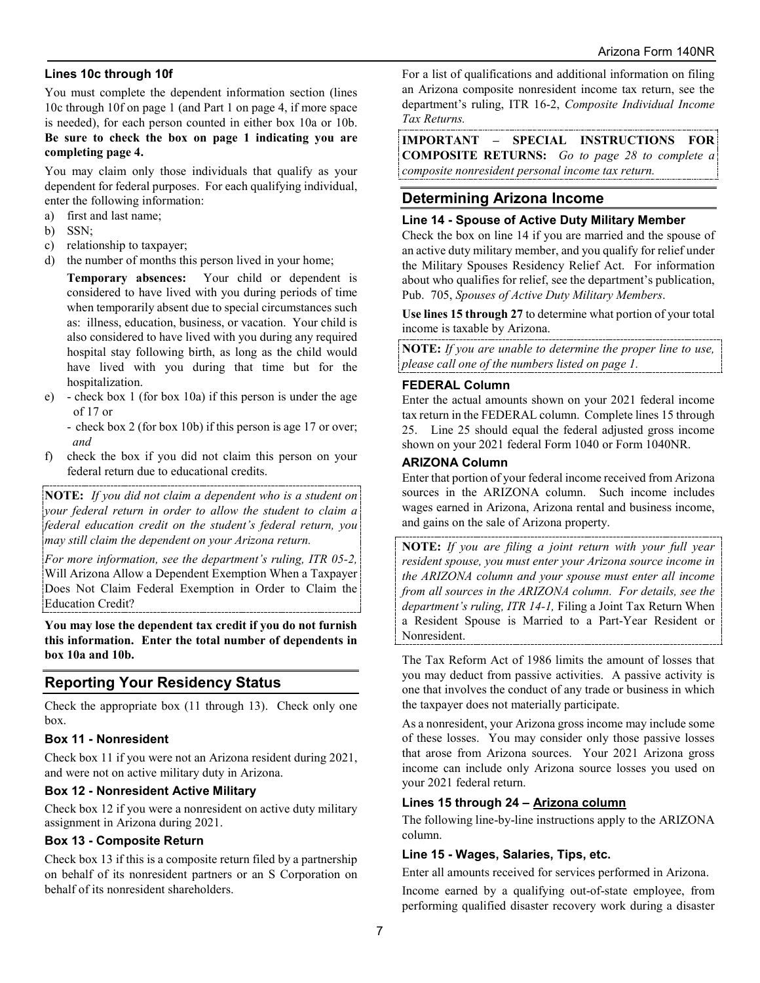#### **Lines 10c through 10f**

You must complete the dependent information section (lines 10c through 10f on page 1 (and Part 1 on page 4, if more space is needed), for each person counted in either box 10a or 10b. **Be sure to check the box on page 1 indicating you are completing page 4.** 

You may claim only those individuals that qualify as your dependent for federal purposes. For each qualifying individual, enter the following information:

- a) first and last name;
- b) SSN;
- c) relationship to taxpayer;
- d) the number of months this person lived in your home;

**Temporary absences:** Your child or dependent is considered to have lived with you during periods of time when temporarily absent due to special circumstances such as: illness, education, business, or vacation. Your child is also considered to have lived with you during any required hospital stay following birth, as long as the child would have lived with you during that time but for the hospitalization.

- e) check box 1 (for box 10a) if this person is under the age of 17 or
	- check box 2 (for box 10b) if this person is age 17 or over; *and*
- f) check the box if you did not claim this person on your federal return due to educational credits.

**NOTE:** *If you did not claim a dependent who is a student on your federal return in order to allow the student to claim a federal education credit on the student's federal return, you may still claim the dependent on your Arizona return.* 

*For more information, see the department's ruling, ITR 05-2,* Will Arizona Allow a Dependent Exemption When a Taxpayer Does Not Claim Federal Exemption in Order to Claim the Education Credit?

**You may lose the dependent tax credit if you do not furnish this information. Enter the total number of dependents in box 10a and 10b.**

## **Reporting Your Residency Status**

Check the appropriate box (11 through 13). Check only one box.

#### **Box 11 - Nonresident**

Check box 11 if you were not an Arizona resident during 2021, and were not on active military duty in Arizona.

#### **Box 12 - Nonresident Active Military**

Check box 12 if you were a nonresident on active duty military assignment in Arizona during 2021.

#### **Box 13 - Composite Return**

Check box 13 if this is a composite return filed by a partnership on behalf of its nonresident partners or an S Corporation on behalf of its nonresident shareholders.

For a list of qualifications and additional information on filing an Arizona composite nonresident income tax return, see the department's ruling, ITR 16-2, *Composite Individual Income Tax Returns.*

**IMPORTANT – SPECIAL INSTRUCTIONS FOR COMPOSITE RETURNS:** *Go to page 28 to complete a composite nonresident personal income tax return.*

## **Determining Arizona Income**

#### **Line 14 - Spouse of Active Duty Military Member**

Check the box on line 14 if you are married and the spouse of an active duty military member, and you qualify for relief under the Military Spouses Residency Relief Act. For information about who qualifies for relief, see the department's publication, Pub. 705, *Spouses of Active Duty Military Members*.

**Use lines 15 through 27** to determine what portion of your total income is taxable by Arizona.

**NOTE:** *If you are unable to determine the proper line to use, please call one of the numbers listed on page 1.*

#### **FEDERAL Column**

Enter the actual amounts shown on your 2021 federal income tax return in the FEDERAL column. Complete lines 15 through 25. Line 25 should equal the federal adjusted gross income shown on your 2021 federal Form 1040 or Form 1040NR.

#### **ARIZONA Column**

Enter that portion of your federal income received from Arizona sources in the ARIZONA column. Such income includes wages earned in Arizona, Arizona rental and business income, and gains on the sale of Arizona property.

**NOTE:** *If you are filing a joint return with your full year resident spouse, you must enter your Arizona source income in the ARIZONA column and your spouse must enter all income from all sources in the ARIZONA column. For details, see the department's ruling, ITR 14-1,* Filing a Joint Tax Return When a Resident Spouse is Married to a Part-Year Resident or Nonresident.

The Tax Reform Act of 1986 limits the amount of losses that you may deduct from passive activities. A passive activity is one that involves the conduct of any trade or business in which the taxpayer does not materially participate.

As a nonresident, your Arizona gross income may include some of these losses. You may consider only those passive losses that arose from Arizona sources. Your 2021 Arizona gross income can include only Arizona source losses you used on your 2021 federal return.

#### **Lines 15 through 24 – Arizona column**

The following line-by-line instructions apply to the ARIZONA column.

#### **Line 15 - Wages, Salaries, Tips, etc.**

Enter all amounts received for services performed in Arizona.

Income earned by a qualifying out-of-state employee, from performing qualified disaster recovery work during a disaster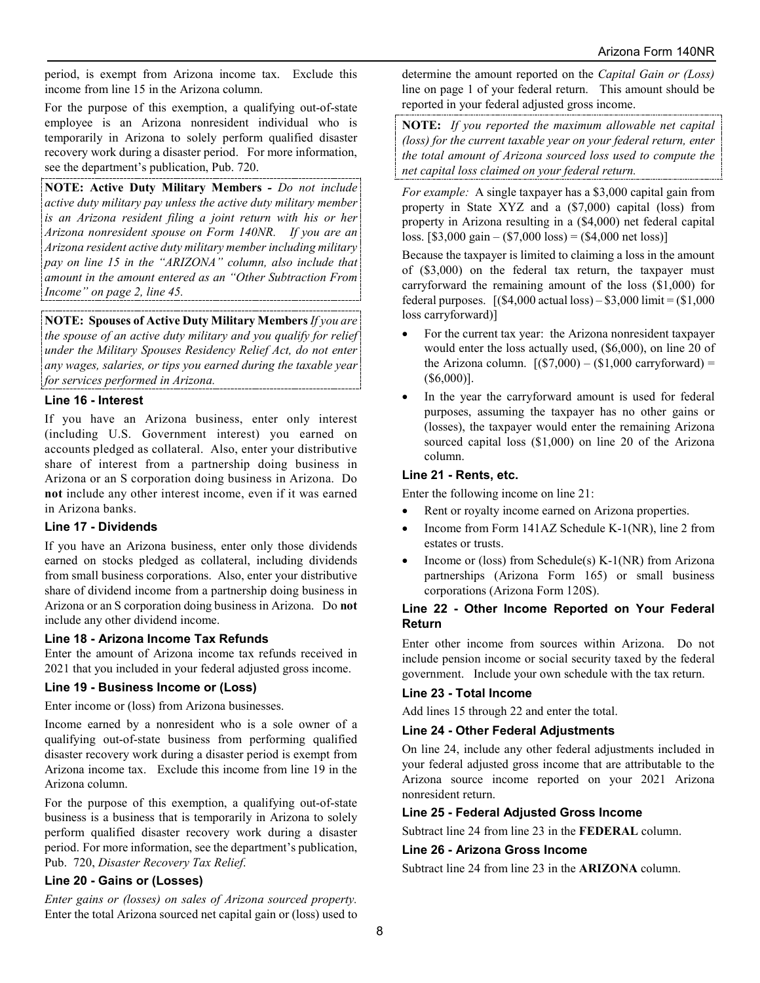period, is exempt from Arizona income tax. Exclude this income from line 15 in the Arizona column.

For the purpose of this exemption, a qualifying out-of-state employee is an Arizona nonresident individual who is temporarily in Arizona to solely perform qualified disaster recovery work during a disaster period. For more information, see the department's publication, Pub. 720.

**NOTE: Active Duty Military Members** *- Do not include active duty military pay unless the active duty military member is an Arizona resident filing a joint return with his or her Arizona nonresident spouse on Form 140NR. If you are an Arizona resident active duty military member including military pay on line 15 in the "ARIZONA" column, also include that amount in the amount entered as an "Other Subtraction From Income" on page 2, line 45.* 

**NOTE: Spouses of Active Duty Military Members** *If you are the spouse of an active duty military and you qualify for relief under the Military Spouses Residency Relief Act, do not enter any wages, salaries, or tips you earned during the taxable year for services performed in Arizona.*

#### **Line 16 - Interest**

If you have an Arizona business, enter only interest (including U.S. Government interest) you earned on accounts pledged as collateral. Also, enter your distributive share of interest from a partnership doing business in Arizona or an S corporation doing business in Arizona. Do **not** include any other interest income, even if it was earned in Arizona banks.

#### **Line 17 - Dividends**

If you have an Arizona business, enter only those dividends earned on stocks pledged as collateral, including dividends from small business corporations. Also, enter your distributive share of dividend income from a partnership doing business in Arizona or an S corporation doing business in Arizona. Do **not** include any other dividend income.

#### **Line 18 - Arizona Income Tax Refunds**

Enter the amount of Arizona income tax refunds received in 2021 that you included in your federal adjusted gross income.

#### **Line 19 - Business Income or (Loss)**

Enter income or (loss) from Arizona businesses.

Income earned by a nonresident who is a sole owner of a qualifying out-of-state business from performing qualified disaster recovery work during a disaster period is exempt from Arizona income tax. Exclude this income from line 19 in the Arizona column.

For the purpose of this exemption, a qualifying out-of-state business is a business that is temporarily in Arizona to solely perform qualified disaster recovery work during a disaster period. For more information, see the department's publication, Pub. 720, *Disaster Recovery Tax Relief*.

#### **Line 20 - Gains or (Losses)**

*Enter gains or (losses) on sales of Arizona sourced property.*  Enter the total Arizona sourced net capital gain or (loss) used to determine the amount reported on the *Capital Gain or (Loss)* line on page 1 of your federal return. This amount should be reported in your federal adjusted gross income.

**NOTE:** *If you reported the maximum allowable net capital (loss) for the current taxable year on your federal return, enter the total amount of Arizona sourced loss used to compute the net capital loss claimed on your federal return.*

*For example:* A single taxpayer has a \$3,000 capital gain from property in State XYZ and a (\$7,000) capital (loss) from property in Arizona resulting in a (\$4,000) net federal capital loss. [\$3,000 gain – (\$7,000 loss) = (\$4,000 net loss)]

Because the taxpayer is limited to claiming a loss in the amount of (\$3,000) on the federal tax return, the taxpayer must carryforward the remaining amount of the loss (\$1,000) for federal purposes.  $[(\$4,000 \text{ actual loss}) - \$3,000 \text{ limit} = (\$1,000$ loss carryforward)]

- For the current tax year: the Arizona nonresident taxpayer would enter the loss actually used, (\$6,000), on line 20 of the Arizona column.  $[(\$7,000) - \$1,000 \text{ carryforward}] =$ (\$6,000)].
- In the year the carryforward amount is used for federal purposes, assuming the taxpayer has no other gains or (losses), the taxpayer would enter the remaining Arizona sourced capital loss (\$1,000) on line 20 of the Arizona column.

#### **Line 21 - Rents, etc.**

Enter the following income on line 21:

- Rent or royalty income earned on Arizona properties.
- Income from Form 141AZ Schedule K-1(NR), line 2 from estates or trusts.
- Income or (loss) from Schedule(s) K-1(NR) from Arizona partnerships (Arizona Form 165) or small business corporations (Arizona Form 120S).

#### **Line 22 - Other Income Reported on Your Federal Return**

Enter other income from sources within Arizona. Do not include pension income or social security taxed by the federal government. Include your own schedule with the tax return.

#### **Line 23 - Total Income**

Add lines 15 through 22 and enter the total.

#### **Line 24 - Other Federal Adjustments**

On line 24, include any other federal adjustments included in your federal adjusted gross income that are attributable to the Arizona source income reported on your 2021 Arizona nonresident return.

#### **Line 25 - Federal Adjusted Gross Income**

Subtract line 24 from line 23 in the **FEDERAL** column.

#### **Line 26 - Arizona Gross Income**

Subtract line 24 from line 23 in the **ARIZONA** column.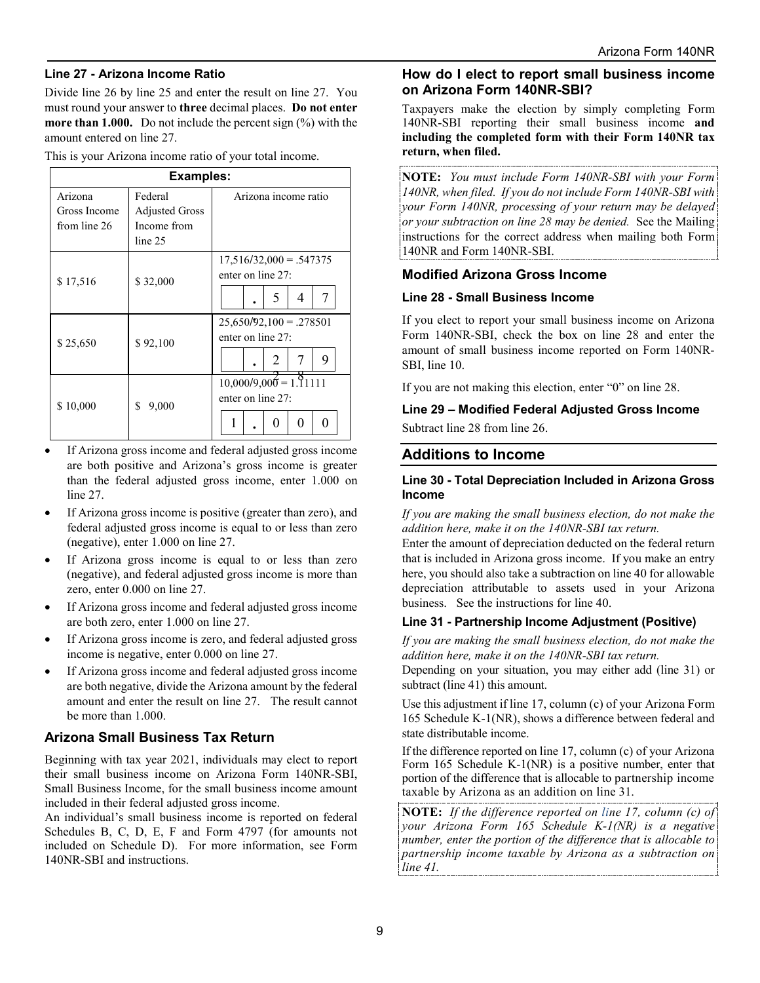#### **Line 27 - Arizona Income Ratio**

Divide line 26 by line 25 and enter the result on line 27. You must round your answer to **three** decimal places. **Do not enter more than 1.000.** Do not include the percent sign (%) with the amount entered on line 27.

This is your Arizona income ratio of your total income.

| <b>Examples:</b> |                       |                           |  |  |
|------------------|-----------------------|---------------------------|--|--|
| Arizona          | Federal               | Arizona income ratio      |  |  |
| Gross Income     | <b>Adjusted Gross</b> |                           |  |  |
| from line 26     | Income from           |                           |  |  |
|                  | line 25               |                           |  |  |
|                  |                       | $17,516/32,000 = .547375$ |  |  |
| \$17,516         | \$32,000              | enter on line 27:         |  |  |
|                  |                       | 5<br>7<br>4               |  |  |
|                  |                       | $25,650/92,100 = .278501$ |  |  |
| \$25,650         | \$92,100              | enter on line 27:         |  |  |
|                  |                       | 9<br>2<br>7               |  |  |
|                  |                       | $10,000/9,000 = 1.11111$  |  |  |
| \$10,000         | S<br>9,000            | enter on line 27:         |  |  |
|                  |                       |                           |  |  |

- If Arizona gross income and federal adjusted gross income are both positive and Arizona's gross income is greater than the federal adjusted gross income, enter 1.000 on line 27.
- If Arizona gross income is positive (greater than zero), and federal adjusted gross income is equal to or less than zero (negative), enter 1.000 on line 27.
- If Arizona gross income is equal to or less than zero (negative), and federal adjusted gross income is more than zero, enter 0.000 on line 27.
- If Arizona gross income and federal adjusted gross income are both zero, enter 1.000 on line 27.
- If Arizona gross income is zero, and federal adjusted gross income is negative, enter 0.000 on line 27.
- If Arizona gross income and federal adjusted gross income are both negative, divide the Arizona amount by the federal amount and enter the result on line 27. The result cannot be more than 1.000.

#### **Arizona Small Business Tax Return**

Beginning with tax year 2021, individuals may elect to report their small business income on Arizona Form 140NR-SBI, Small Business Income, for the small business income amount included in their federal adjusted gross income.

An individual's small business income is reported on federal Schedules B, C, D, E, F and Form 4797 (for amounts not included on Schedule D). For more information, see Form 140NR-SBI and instructions.

## **How do I elect to report small business income on Arizona Form 140NR-SBI?**

Taxpayers make the election by simply completing Form 140NR-SBI reporting their small business income **and including the completed form with their Form 140NR tax return, when filed.** 

**NOTE:** *You must include Form 140NR-SBI with your Form 140NR, when filed. If you do not include Form 140NR-SBI with your Form 140NR, processing of your return may be delayed or your subtraction on line 28 may be denied.* See the Mailing instructions for the correct address when mailing both Form 140NR and Form 140NR-SBI.

#### **Modified Arizona Gross Income**

#### **Line 28 - Small Business Income**

If you elect to report your small business income on Arizona Form 140NR-SBI, check the box on line 28 and enter the amount of small business income reported on Form 140NR-SBI, line 10.

If you are not making this election, enter "0" on line 28.

#### **Line 29 – Modified Federal Adjusted Gross Income**

Subtract line 28 from line 26.

#### **Additions to Income**

#### **Line 30 - Total Depreciation Included in Arizona Gross Income**

*If you are making the small business election, do not make the addition here, make it on the 140NR-SBI tax return.* 

Enter the amount of depreciation deducted on the federal return that is included in Arizona gross income. If you make an entry here, you should also take a subtraction on line 40 for allowable depreciation attributable to assets used in your Arizona business. See the instructions for line 40.

#### **Line 31 - Partnership Income Adjustment (Positive)**

*If you are making the small business election, do not make the addition here, make it on the 140NR-SBI tax return.* 

Depending on your situation, you may either add (line 31) or subtract (line 41) this amount.

Use this adjustment if line 17, column (c) of your Arizona Form 165 Schedule K-1(NR), shows a difference between federal and state distributable income.

If the difference reported on line 17, column (c) of your Arizona Form 165 Schedule K-1(NR) is a positive number, enter that portion of the difference that is allocable to partnership income taxable by Arizona as an addition on line 31.

**NOTE:** *If the difference reported on line 17, column (c) of your Arizona Form 165 Schedule K-1(NR) is a negative number, enter the portion of the difference that is allocable to partnership income taxable by Arizona as a subtraction on line 41.*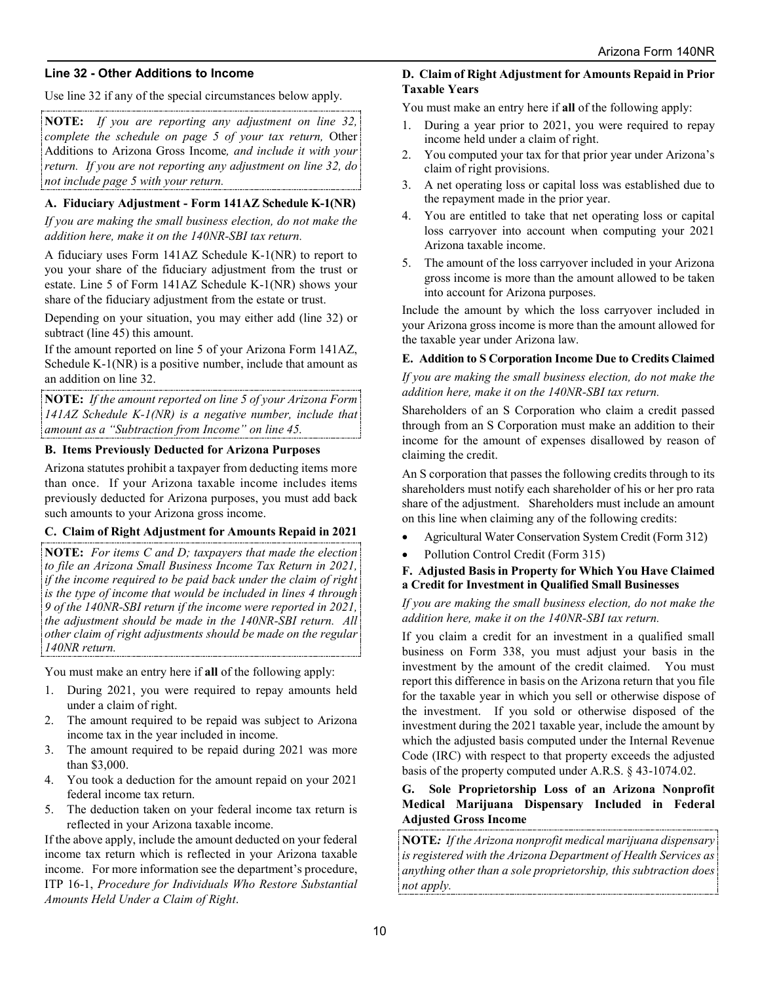#### **Line 32 - Other Additions to Income**

Use line 32 if any of the special circumstances below apply.

**NOTE:** *If you are reporting any adjustment on line 32, complete the schedule on page 5 of your tax return,* Other Additions to Arizona Gross Income*, and include it with your return. If you are not reporting any adjustment on line 32, do not include page 5 with your return.*

#### **A. Fiduciary Adjustment - Form 141AZ Schedule K-1(NR)**

*If you are making the small business election, do not make the addition here, make it on the 140NR-SBI tax return.* 

A fiduciary uses Form 141AZ Schedule K-1(NR) to report to you your share of the fiduciary adjustment from the trust or estate. Line 5 of Form 141AZ Schedule K-1(NR) shows your share of the fiduciary adjustment from the estate or trust.

Depending on your situation, you may either add (line 32) or subtract (line 45) this amount.

If the amount reported on line 5 of your Arizona Form 141AZ, Schedule K-1(NR) is a positive number, include that amount as an addition on line 32.

**NOTE:** *If the amount reported on line 5 of your Arizona Form 141AZ Schedule K-1(NR) is a negative number, include that amount as a "Subtraction from Income" on line 45.*

#### **B. Items Previously Deducted for Arizona Purposes**

Arizona statutes prohibit a taxpayer from deducting items more than once. If your Arizona taxable income includes items previously deducted for Arizona purposes, you must add back such amounts to your Arizona gross income.

#### **C. Claim of Right Adjustment for Amounts Repaid in 2021**

**NOTE:** *For items C and D; taxpayers that made the election to file an Arizona Small Business Income Tax Return in 2021, if the income required to be paid back under the claim of right is the type of income that would be included in lines 4 through 9 of the 140NR-SBI return if the income were reported in 2021, the adjustment should be made in the 140NR-SBI return. All other claim of right adjustments should be made on the regular 140NR return.* 

You must make an entry here if **all** of the following apply:

- 1. During 2021, you were required to repay amounts held under a claim of right.
- 2. The amount required to be repaid was subject to Arizona income tax in the year included in income.
- 3. The amount required to be repaid during 2021 was more than \$3,000.
- 4. You took a deduction for the amount repaid on your 2021 federal income tax return.
- 5. The deduction taken on your federal income tax return is reflected in your Arizona taxable income.

If the above apply, include the amount deducted on your federal income tax return which is reflected in your Arizona taxable income. For more information see the department's procedure, ITP 16-1, *Procedure for Individuals Who Restore Substantial Amounts Held Under a Claim of Right*.

## **D. Claim of Right Adjustment for Amounts Repaid in Prior Taxable Years**

You must make an entry here if **all** of the following apply:

- 1. During a year prior to 2021, you were required to repay income held under a claim of right.
- 2. You computed your tax for that prior year under Arizona's claim of right provisions.
- 3. A net operating loss or capital loss was established due to the repayment made in the prior year.
- 4. You are entitled to take that net operating loss or capital loss carryover into account when computing your 2021 Arizona taxable income.
- 5. The amount of the loss carryover included in your Arizona gross income is more than the amount allowed to be taken into account for Arizona purposes.

Include the amount by which the loss carryover included in your Arizona gross income is more than the amount allowed for the taxable year under Arizona law.

## **E. Addition to S Corporation Income Due to Credits Claimed**

*If you are making the small business election, do not make the addition here, make it on the 140NR-SBI tax return.* 

Shareholders of an S Corporation who claim a credit passed through from an S Corporation must make an addition to their income for the amount of expenses disallowed by reason of claiming the credit.

An S corporation that passes the following credits through to its shareholders must notify each shareholder of his or her pro rata share of the adjustment. Shareholders must include an amount on this line when claiming any of the following credits:

- Agricultural Water Conservation System Credit (Form 312)
- Pollution Control Credit (Form 315)
- **F. Adjusted Basis in Property for Which You Have Claimed a Credit for Investment in Qualified Small Businesses**

#### *If you are making the small business election, do not make the addition here, make it on the 140NR-SBI tax return.*

If you claim a credit for an investment in a qualified small business on Form 338, you must adjust your basis in the investment by the amount of the credit claimed. You must report this difference in basis on the Arizona return that you file for the taxable year in which you sell or otherwise dispose of the investment. If you sold or otherwise disposed of the investment during the 2021 taxable year, include the amount by which the adjusted basis computed under the Internal Revenue Code (IRC) with respect to that property exceeds the adjusted basis of the property computed under A.R.S. § 43-1074.02.

#### **G. Sole Proprietorship Loss of an Arizona Nonprofit Medical Marijuana Dispensary Included in Federal Adjusted Gross Income**

**NOTE***: If the Arizona nonprofit medical marijuana dispensary is registered with the Arizona Department of Health Services as anything other than a sole proprietorship, this subtraction does not apply.*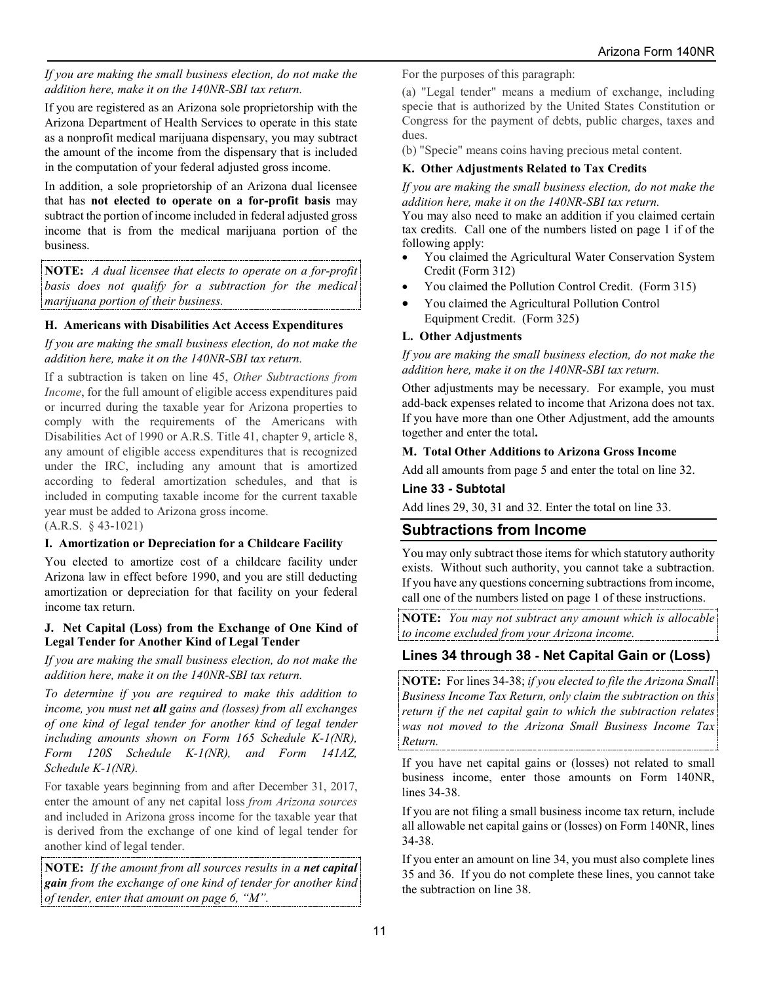#### *If you are making the small business election, do not make the addition here, make it on the 140NR-SBI tax return.*

If you are registered as an Arizona sole proprietorship with the Arizona Department of Health Services to operate in this state as a nonprofit medical marijuana dispensary, you may subtract the amount of the income from the dispensary that is included in the computation of your federal adjusted gross income.

In addition, a sole proprietorship of an Arizona dual licensee that has **not elected to operate on a for-profit basis** may subtract the portion of income included in federal adjusted gross income that is from the medical marijuana portion of the business.

**NOTE:** *A dual licensee that elects to operate on a for-profit basis does not qualify for a subtraction for the medical marijuana portion of their business.*

### **H. Americans with Disabilities Act Access Expenditures**

*If you are making the small business election, do not make the addition here, make it on the 140NR-SBI tax return.* 

If a subtraction is taken on line 45, *Other Subtractions from Income*, for the full amount of eligible access expenditures paid or incurred during the taxable year for Arizona properties to comply with the requirements of the Americans with Disabilities Act of 1990 or A.R.S. Title 41, chapter 9, article 8, any amount of eligible access expenditures that is recognized under the IRC, including any amount that is amortized according to federal amortization schedules, and that is included in computing taxable income for the current taxable year must be added to Arizona gross income.

(A.R.S. § 43-1021)

## **I. Amortization or Depreciation for a Childcare Facility**

You elected to amortize cost of a childcare facility under Arizona law in effect before 1990, and you are still deducting amortization or depreciation for that facility on your federal income tax return.

#### **J. Net Capital (Loss) from the Exchange of One Kind of Legal Tender for Another Kind of Legal Tender**

*If you are making the small business election, do not make the addition here, make it on the 140NR-SBI tax return.* 

*To determine if you are required to make this addition to income, you must net all gains and (losses) from all exchanges of one kind of legal tender for another kind of legal tender including amounts shown on Form 165 Schedule K-1(NR), Form 120S Schedule K-1(NR), and Form 141AZ, Schedule K-1(NR).*

For taxable years beginning from and after December 31, 2017, enter the amount of any net capital loss *from Arizona sources* and included in Arizona gross income for the taxable year that is derived from the exchange of one kind of legal tender for another kind of legal tender.

**NOTE:** *If the amount from all sources results in a net capital gain from the exchange of one kind of tender for another kind of tender, enter that amount on page 6, "M".*

For the purposes of this paragraph:

(a) "Legal tender" means a medium of exchange, including specie that is authorized by the United States Constitution or Congress for the payment of debts, public charges, taxes and dues.

(b) "Specie" means coins having precious metal content.

### **K. Other Adjustments Related to Tax Credits**

*If you are making the small business election, do not make the addition here, make it on the 140NR-SBI tax return.* 

You may also need to make an addition if you claimed certain tax credits. Call one of the numbers listed on page 1 if of the following apply:

- You claimed the Agricultural Water Conservation System Credit (Form 312)
- You claimed the Pollution Control Credit. (Form 315)
- You claimed the Agricultural Pollution Control Equipment Credit. (Form 325)

#### **L. Other Adjustments**

*If you are making the small business election, do not make the addition here, make it on the 140NR-SBI tax return.* 

Other adjustments may be necessary. For example, you must add-back expenses related to income that Arizona does not tax. If you have more than one Other Adjustment, add the amounts together and enter the total**.** 

#### **M. Total Other Additions to Arizona Gross Income**

Add all amounts from page 5 and enter the total on line 32.

#### **Line 33 - Subtotal**

Add lines 29, 30, 31 and 32. Enter the total on line 33.

## **Subtractions from Income**

You may only subtract those items for which statutory authority exists. Without such authority, you cannot take a subtraction. If you have any questions concerning subtractions from income, call one of the numbers listed on page 1 of these instructions.

**NOTE:** *You may not subtract any amount which is allocable to income excluded from your Arizona income.*

## **Lines 34 through 38 - Net Capital Gain or (Loss)**

**NOTE:** For lines 34-38; *if you elected to file the Arizona Small Business Income Tax Return, only claim the subtraction on this return if the net capital gain to which the subtraction relates was not moved to the Arizona Small Business Income Tax Return.*

If you have net capital gains or (losses) not related to small business income, enter those amounts on Form 140NR, lines 34-38.

If you are not filing a small business income tax return, include all allowable net capital gains or (losses) on Form 140NR, lines 34-38.

If you enter an amount on line 34, you must also complete lines 35 and 36. If you do not complete these lines, you cannot take the subtraction on line 38.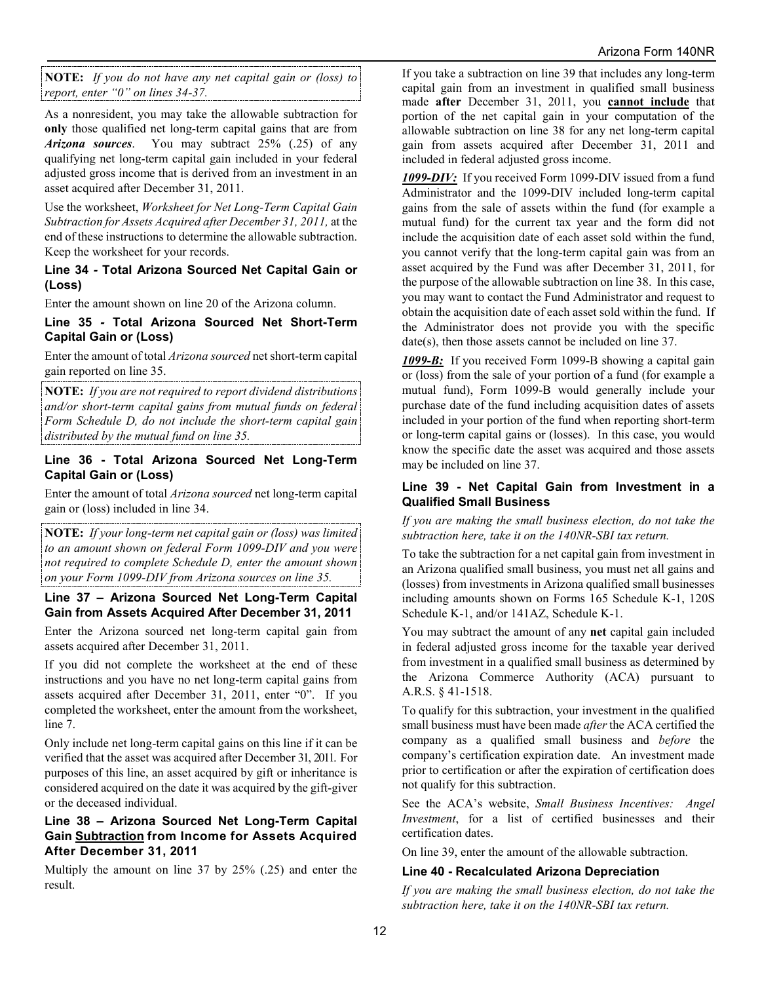**NOTE:** *If you do not have any net capital gain or (loss) to report, enter "0" on lines 34-37.*

As a nonresident, you may take the allowable subtraction for **only** those qualified net long-term capital gains that are from *Arizona sources*. You may subtract 25% (.25) of any qualifying net long-term capital gain included in your federal adjusted gross income that is derived from an investment in an asset acquired after December 31, 2011.

Use the worksheet, *Worksheet for Net Long-Term Capital Gain Subtraction for Assets Acquired after December 31, 2011,* at the end of these instructions to determine the allowable subtraction. Keep the worksheet for your records.

#### **Line 34** *-* **Total Arizona Sourced Net Capital Gain or (Loss)**

Enter the amount shown on line 20 of the Arizona column.

#### **Line 35** *-* **Total Arizona Sourced Net Short-Term Capital Gain or (Loss)**

Enter the amount of total *Arizona sourced* net short-term capital gain reported on line 35.

**NOTE:** *If you are not required to report dividend distributions and/or short-term capital gains from mutual funds on federal Form Schedule D, do not include the short-term capital gain distributed by the mutual fund on line 35.*

#### **Line 36 - Total Arizona Sourced Net Long-Term Capital Gain or (Loss)**

Enter the amount of total *Arizona sourced* net long-term capital gain or (loss) included in line 34.

**NOTE:** *If your long-term net capital gain or (loss) was limited to an amount shown on federal Form 1099-DIV and you were not required to complete Schedule D, enter the amount shown on your Form 1099-DIV from Arizona sources on line 35.*

#### **Line 37 – Arizona Sourced Net Long-Term Capital Gain from Assets Acquired After December 31, 2011**

Enter the Arizona sourced net long-term capital gain from assets acquired after December 31, 2011.

If you did not complete the worksheet at the end of these instructions and you have no net long-term capital gains from assets acquired after December 31, 2011, enter "0". If you completed the worksheet, enter the amount from the worksheet, line 7.

Only include net long-term capital gains on this line if it can be verified that the asset was acquired after December 31, 2011. For purposes of this line, an asset acquired by gift or inheritance is considered acquired on the date it was acquired by the gift-giver or the deceased individual.

#### **Line 38 – Arizona Sourced Net Long-Term Capital Gain Subtraction from Income for Assets Acquired After December 31, 2011**

Multiply the amount on line 37 by 25% (.25) and enter the result.

If you take a subtraction on line 39 that includes any long-term capital gain from an investment in qualified small business made **after** December 31, 2011, you **cannot include** that portion of the net capital gain in your computation of the allowable subtraction on line 38 for any net long-term capital gain from assets acquired after December 31, 2011 and included in federal adjusted gross income.

*1099-DIV:* If you received Form 1099-DIV issued from a fund Administrator and the 1099-DIV included long-term capital gains from the sale of assets within the fund (for example a mutual fund) for the current tax year and the form did not include the acquisition date of each asset sold within the fund, you cannot verify that the long-term capital gain was from an asset acquired by the Fund was after December 31, 2011, for the purpose of the allowable subtraction on line 38. In this case, you may want to contact the Fund Administrator and request to obtain the acquisition date of each asset sold within the fund. If the Administrator does not provide you with the specific date(s), then those assets cannot be included on line 37.

*1099-B:* If you received Form 1099-B showing a capital gain or (loss) from the sale of your portion of a fund (for example a mutual fund), Form 1099-B would generally include your purchase date of the fund including acquisition dates of assets included in your portion of the fund when reporting short-term or long-term capital gains or (losses). In this case, you would know the specific date the asset was acquired and those assets may be included on line 37.

#### **Line 39 - Net Capital Gain from Investment in a Qualified Small Business**

*If you are making the small business election, do not take the subtraction here, take it on the 140NR-SBI tax return.* 

To take the subtraction for a net capital gain from investment in an Arizona qualified small business, you must net all gains and (losses) from investments in Arizona qualified small businesses including amounts shown on Forms 165 Schedule K-1, 120S Schedule K-1, and/or 141AZ, Schedule K-1.

You may subtract the amount of any **net** capital gain included in federal adjusted gross income for the taxable year derived from investment in a qualified small business as determined by the Arizona Commerce Authority (ACA) pursuant to A.R.S. § 41-1518.

To qualify for this subtraction, your investment in the qualified small business must have been made *after* the ACA certified the company as a qualified small business and *before* the company's certification expiration date. An investment made prior to certification or after the expiration of certification does not qualify for this subtraction.

See the ACA's website, *Small Business Incentives: Angel Investment*, for a list of certified businesses and their certification dates.

On line 39, enter the amount of the allowable subtraction.

## **Line 40 - Recalculated Arizona Depreciation**

*If you are making the small business election, do not take the subtraction here, take it on the 140NR-SBI tax return.*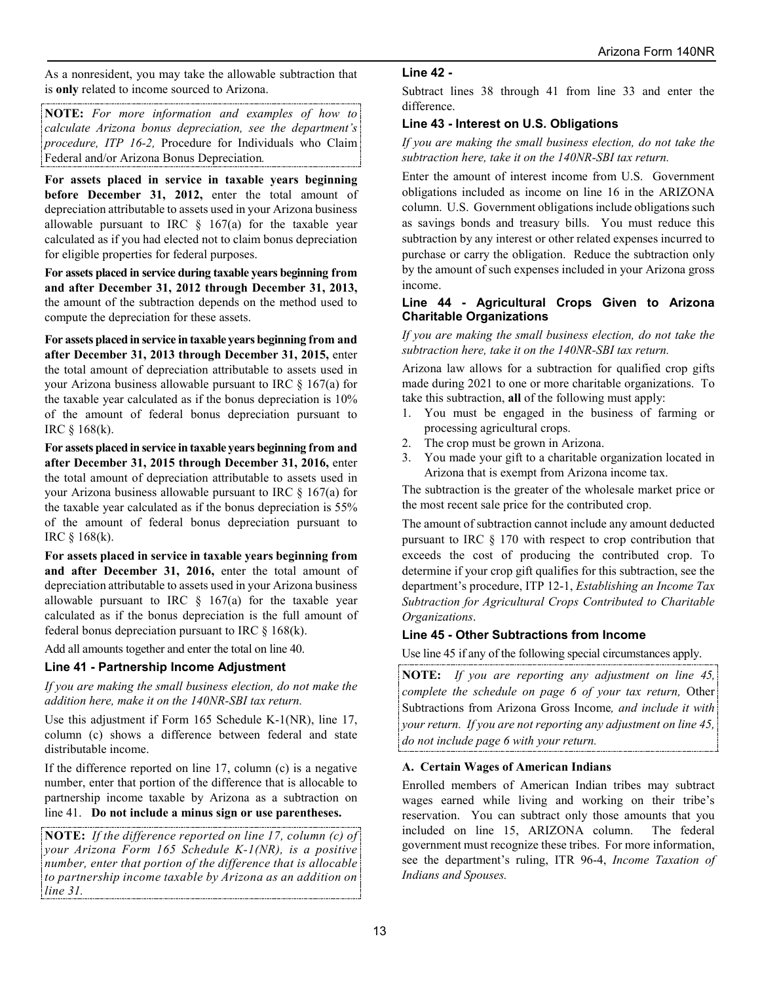As a nonresident, you may take the allowable subtraction that is **only** related to income sourced to Arizona.

**NOTE:** *For more information and examples of how to calculate Arizona bonus depreciation, see the department's procedure, ITP 16-2,* Procedure for Individuals who Claim Federal and/or Arizona Bonus Depreciation*.* 

**For assets placed in service in taxable years beginning before December 31, 2012,** enter the total amount of depreciation attributable to assets used in your Arizona business allowable pursuant to IRC  $\S$  167(a) for the taxable year calculated as if you had elected not to claim bonus depreciation for eligible properties for federal purposes.

**For assets placed in service during taxable years beginning from and after December 31, 2012 through December 31, 2013,** the amount of the subtraction depends on the method used to compute the depreciation for these assets.

**For assets placed in service in taxable years beginning from and after December 31, 2013 through December 31, 2015,** enter the total amount of depreciation attributable to assets used in your Arizona business allowable pursuant to IRC § 167(a) for the taxable year calculated as if the bonus depreciation is 10% of the amount of federal bonus depreciation pursuant to IRC § 168(k).

**For assets placed in service in taxable years beginning from and after December 31, 2015 through December 31, 2016,** enter the total amount of depreciation attributable to assets used in your Arizona business allowable pursuant to IRC § 167(a) for the taxable year calculated as if the bonus depreciation is 55% of the amount of federal bonus depreciation pursuant to IRC § 168(k).

**For assets placed in service in taxable years beginning from and after December 31, 2016,** enter the total amount of depreciation attributable to assets used in your Arizona business allowable pursuant to IRC  $\S$  167(a) for the taxable year calculated as if the bonus depreciation is the full amount of federal bonus depreciation pursuant to IRC  $\S$  168(k).

Add all amounts together and enter the total on line 40.

#### **Line 41 - Partnership Income Adjustment**

*If you are making the small business election, do not make the addition here, make it on the 140NR-SBI tax return.* 

Use this adjustment if Form 165 Schedule K-1(NR), line 17, column (c) shows a difference between federal and state distributable income.

If the difference reported on line 17, column (c) is a negative number, enter that portion of the difference that is allocable to partnership income taxable by Arizona as a subtraction on line 41. **Do not include a minus sign or use parentheses.**

**NOTE:** *If the difference reported on line 17, column (c) of your Arizona Form 165 Schedule K-1(NR), is a positive number, enter that portion of the difference that is allocable to partnership income taxable by Arizona as an addition on line 31.*

#### **Line 42 -**

Subtract lines 38 through 41 from line 33 and enter the difference.

### **Line 43 - Interest on U.S. Obligations**

*If you are making the small business election, do not take the subtraction here, take it on the 140NR-SBI tax return.* 

Enter the amount of interest income from U.S. Government obligations included as income on line 16 in the ARIZONA column. U.S. Government obligations include obligations such as savings bonds and treasury bills. You must reduce this subtraction by any interest or other related expenses incurred to purchase or carry the obligation. Reduce the subtraction only by the amount of such expenses included in your Arizona gross income.

#### **Line 44 - Agricultural Crops Given to Arizona Charitable Organizations**

*If you are making the small business election, do not take the subtraction here, take it on the 140NR-SBI tax return.* 

Arizona law allows for a subtraction for qualified crop gifts made during 2021 to one or more charitable organizations. To take this subtraction, **all** of the following must apply:

- 1. You must be engaged in the business of farming or processing agricultural crops.
- 2. The crop must be grown in Arizona.
- 3. You made your gift to a charitable organization located in Arizona that is exempt from Arizona income tax.

The subtraction is the greater of the wholesale market price or the most recent sale price for the contributed crop.

The amount of subtraction cannot include any amount deducted pursuant to IRC § 170 with respect to crop contribution that exceeds the cost of producing the contributed crop. To determine if your crop gift qualifies for this subtraction, see the department's procedure, ITP 12-1, *Establishing an Income Tax Subtraction for Agricultural Crops Contributed to Charitable Organizations*.

#### **Line 45 - Other Subtractions from Income**

Use line 45 if any of the following special circumstances apply.

**NOTE:** *If you are reporting any adjustment on line 45, complete the schedule on page 6 of your tax return,* Other Subtractions from Arizona Gross Income*, and include it with your return. If you are not reporting any adjustment on line 45, do not include page 6 with your return.*

#### **A. Certain Wages of American Indians**

Enrolled members of American Indian tribes may subtract wages earned while living and working on their tribe's reservation. You can subtract only those amounts that you included on line 15, ARIZONA column. The federal government must recognize these tribes. For more information, see the department's ruling, ITR 96-4, *Income Taxation of Indians and Spouses.*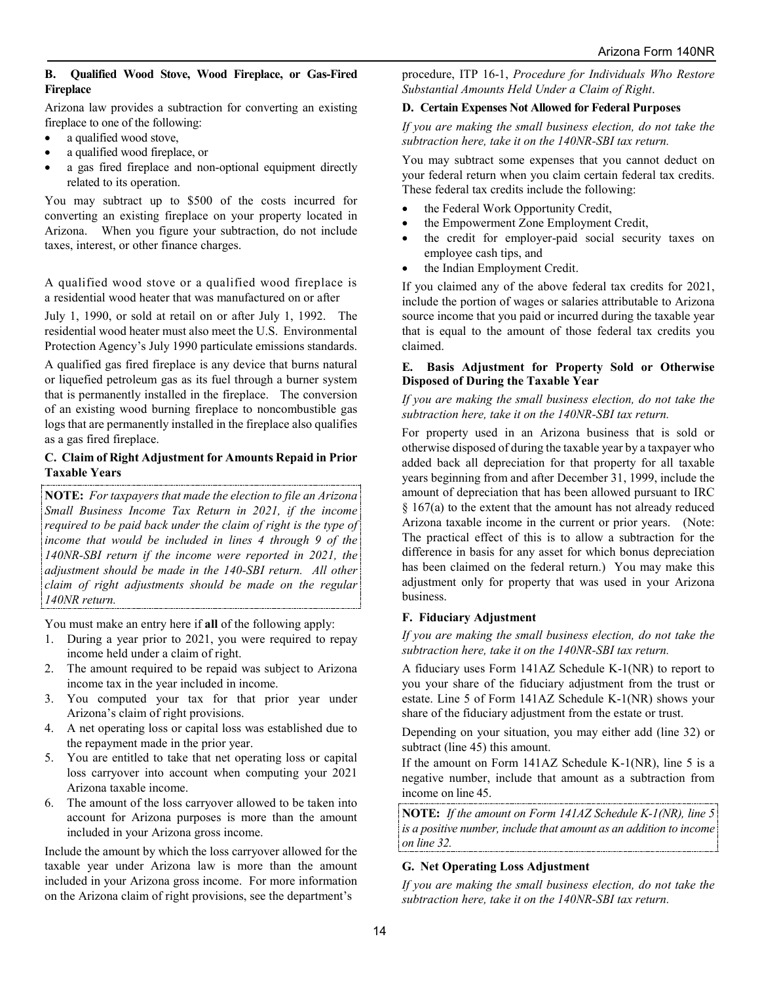#### **B. Qualified Wood Stove, Wood Fireplace, or Gas-Fired Fireplace**

Arizona law provides a subtraction for converting an existing fireplace to one of the following:

- a qualified wood stove,
- a qualified wood fireplace, or
- a gas fired fireplace and non-optional equipment directly related to its operation.

You may subtract up to \$500 of the costs incurred for converting an existing fireplace on your property located in Arizona. When you figure your subtraction, do not include taxes, interest, or other finance charges.

A qualified wood stove or a qualified wood fireplace is a residential wood heater that was manufactured on or after

July 1, 1990, or sold at retail on or after July 1, 1992. The residential wood heater must also meet the U.S. Environmental Protection Agency's July 1990 particulate emissions standards.

A qualified gas fired fireplace is any device that burns natural or liquefied petroleum gas as its fuel through a burner system that is permanently installed in the fireplace. The conversion of an existing wood burning fireplace to noncombustible gas logs that are permanently installed in the fireplace also qualifies as a gas fired fireplace.

#### **C. Claim of Right Adjustment for Amounts Repaid in Prior Taxable Years**

**NOTE:** *For taxpayers that made the election to file an Arizona Small Business Income Tax Return in 2021, if the income required to be paid back under the claim of right is the type of income that would be included in lines 4 through 9 of the 140NR-SBI return if the income were reported in 2021, the adjustment should be made in the 140-SBI return. All other claim of right adjustments should be made on the regular 140NR return.*

You must make an entry here if **all** of the following apply:

- 1. During a year prior to 2021, you were required to repay income held under a claim of right.
- 2. The amount required to be repaid was subject to Arizona income tax in the year included in income.
- 3. You computed your tax for that prior year under Arizona's claim of right provisions.
- 4. A net operating loss or capital loss was established due to the repayment made in the prior year.
- 5. You are entitled to take that net operating loss or capital loss carryover into account when computing your 2021 Arizona taxable income.
- 6. The amount of the loss carryover allowed to be taken into account for Arizona purposes is more than the amount included in your Arizona gross income.

Include the amount by which the loss carryover allowed for the taxable year under Arizona law is more than the amount included in your Arizona gross income. For more information on the Arizona claim of right provisions, see the department's

procedure, ITP 16-1, *Procedure for Individuals Who Restore Substantial Amounts Held Under a Claim of Right*.

#### **D. Certain Expenses Not Allowed for Federal Purposes**

*If you are making the small business election, do not take the subtraction here, take it on the 140NR-SBI tax return.* 

You may subtract some expenses that you cannot deduct on your federal return when you claim certain federal tax credits. These federal tax credits include the following:

- the Federal Work Opportunity Credit,
- the Empowerment Zone Employment Credit,
- the credit for employer-paid social security taxes on employee cash tips, and
- the Indian Employment Credit.

If you claimed any of the above federal tax credits for 2021, include the portion of wages or salaries attributable to Arizona source income that you paid or incurred during the taxable year that is equal to the amount of those federal tax credits you claimed.

#### **E. Basis Adjustment for Property Sold or Otherwise Disposed of During the Taxable Year**

#### *If you are making the small business election, do not take the subtraction here, take it on the 140NR-SBI tax return.*

For property used in an Arizona business that is sold or otherwise disposed of during the taxable year by a taxpayer who added back all depreciation for that property for all taxable years beginning from and after December 31, 1999, include the amount of depreciation that has been allowed pursuant to IRC  $§$  167(a) to the extent that the amount has not already reduced Arizona taxable income in the current or prior years. (Note: The practical effect of this is to allow a subtraction for the difference in basis for any asset for which bonus depreciation has been claimed on the federal return.) You may make this adjustment only for property that was used in your Arizona business.

#### **F. Fiduciary Adjustment**

*If you are making the small business election, do not take the subtraction here, take it on the 140NR-SBI tax return.* 

A fiduciary uses Form 141AZ Schedule K-1(NR) to report to you your share of the fiduciary adjustment from the trust or estate. Line 5 of Form 141AZ Schedule K-1(NR) shows your share of the fiduciary adjustment from the estate or trust.

Depending on your situation, you may either add (line 32) or subtract (line 45) this amount.

If the amount on Form 141AZ Schedule K-1(NR), line 5 is a negative number, include that amount as a subtraction from income on line 45.

**NOTE:** *If the amount on Form 141AZ Schedule K-1(NR), line 5 is a positive number, include that amount as an addition to income on line 32.*

#### **G. Net Operating Loss Adjustment**

*If you are making the small business election, do not take the subtraction here, take it on the 140NR-SBI tax return.*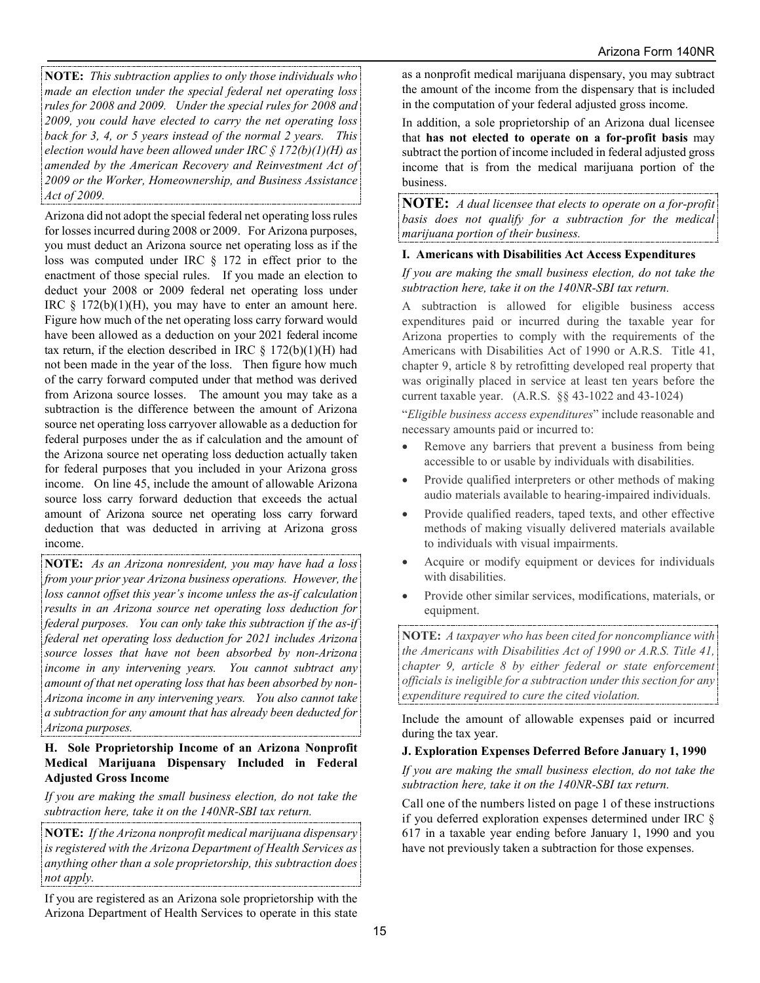**NOTE:** *This subtraction applies to only those individuals who made an election under the special federal net operating loss rules for 2008 and 2009. Under the special rules for 2008 and 2009, you could have elected to carry the net operating loss back for 3, 4, or 5 years instead of the normal 2 years. This election would have been allowed under IRC § 172(b)(1)(H) as amended by the American Recovery and Reinvestment Act of 2009 or the Worker, Homeownership, and Business Assistance Act of 2009.*

Arizona did not adopt the special federal net operating loss rules for losses incurred during 2008 or 2009. For Arizona purposes, you must deduct an Arizona source net operating loss as if the loss was computed under IRC § 172 in effect prior to the enactment of those special rules. If you made an election to deduct your 2008 or 2009 federal net operating loss under IRC  $\S$  172(b)(1)(H), you may have to enter an amount here. Figure how much of the net operating loss carry forward would have been allowed as a deduction on your 2021 federal income tax return, if the election described in IRC  $\S$  172(b)(1)(H) had not been made in the year of the loss. Then figure how much of the carry forward computed under that method was derived from Arizona source losses. The amount you may take as a subtraction is the difference between the amount of Arizona source net operating loss carryover allowable as a deduction for federal purposes under the as if calculation and the amount of the Arizona source net operating loss deduction actually taken for federal purposes that you included in your Arizona gross income. On line 45, include the amount of allowable Arizona source loss carry forward deduction that exceeds the actual amount of Arizona source net operating loss carry forward deduction that was deducted in arriving at Arizona gross income.

**NOTE:** *As an Arizona nonresident, you may have had a loss from your prior year Arizona business operations. However, the loss cannot offset this year's income unless the as-if calculation results in an Arizona source net operating loss deduction for federal purposes. You can only take this subtraction if the as-if federal net operating loss deduction for 2021 includes Arizona source losses that have not been absorbed by non-Arizona income in any intervening years. You cannot subtract any amount of that net operating loss that has been absorbed by non-Arizona income in any intervening years. You also cannot take a subtraction for any amount that has already been deducted for Arizona purposes.* 

#### **H. Sole Proprietorship Income of an Arizona Nonprofit Medical Marijuana Dispensary Included in Federal Adjusted Gross Income**

*If you are making the small business election, do not take the subtraction here, take it on the 140NR-SBI tax return.* 

**NOTE:** *If the Arizona nonprofit medical marijuana dispensary is registered with the Arizona Department of Health Services as anything other than a sole proprietorship, this subtraction does not apply.*

If you are registered as an Arizona sole proprietorship with the Arizona Department of Health Services to operate in this state as a nonprofit medical marijuana dispensary, you may subtract the amount of the income from the dispensary that is included in the computation of your federal adjusted gross income.

In addition, a sole proprietorship of an Arizona dual licensee that **has not elected to operate on a for-profit basis** may subtract the portion of income included in federal adjusted gross income that is from the medical marijuana portion of the business.

**NOTE:** *A dual licensee that elects to operate on a for-profit basis does not qualify for a subtraction for the medical marijuana portion of their business.*

#### **I. Americans with Disabilities Act Access Expenditures**

*If you are making the small business election, do not take the subtraction here, take it on the 140NR-SBI tax return.* 

A subtraction is allowed for eligible business access expenditures paid or incurred during the taxable year for Arizona properties to comply with the requirements of the Americans with Disabilities Act of 1990 or A.R.S. Title 41, chapter 9, article 8 by retrofitting developed real property that was originally placed in service at least ten years before the current taxable year. (A.R.S. §§ 43-1022 and 43-1024)

"*Eligible business access expenditures*" include reasonable and necessary amounts paid or incurred to:

- Remove any barriers that prevent a business from being accessible to or usable by individuals with disabilities.
- Provide qualified interpreters or other methods of making audio materials available to hearing-impaired individuals.
- Provide qualified readers, taped texts, and other effective methods of making visually delivered materials available to individuals with visual impairments.
- Acquire or modify equipment or devices for individuals with disabilities.
- Provide other similar services, modifications, materials, or equipment.

**NOTE:** *A taxpayer who has been cited for noncompliance with the Americans with Disabilities Act of 1990 or A.R.S. Title 41, chapter 9, article 8 by either federal or state enforcement officials is ineligible for a subtraction under this section for any expenditure required to cure the cited violation.* 

Include the amount of allowable expenses paid or incurred during the tax year.

#### **J. Exploration Expenses Deferred Before January 1, 1990**

*If you are making the small business election, do not take the subtraction here, take it on the 140NR-SBI tax return.* 

Call one of the numbers listed on page 1 of these instructions if you deferred exploration expenses determined under IRC § 617 in a taxable year ending before January 1, 1990 and you have not previously taken a subtraction for those expenses.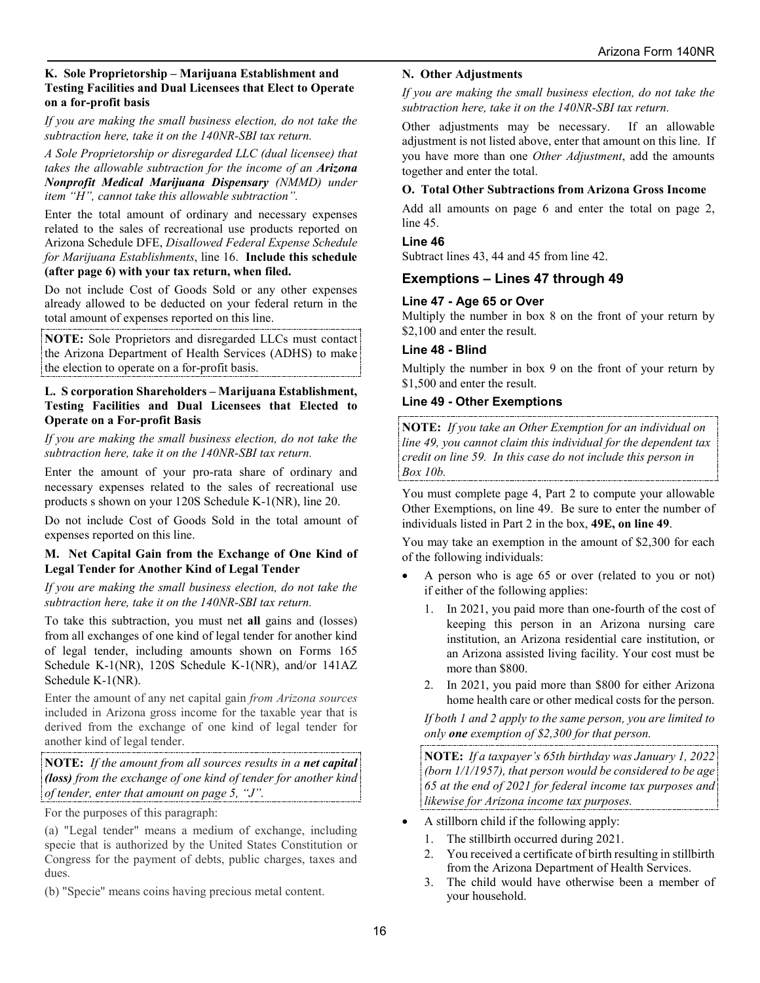#### **K. Sole Proprietorship – Marijuana Establishment and Testing Facilities and Dual Licensees that Elect to Operate on a for-profit basis**

*If you are making the small business election, do not take the subtraction here, take it on the 140NR-SBI tax return.* 

*A Sole Proprietorship or disregarded LLC (dual licensee) that takes the allowable subtraction for the income of an Arizona Nonprofit Medical Marijuana Dispensary (NMMD) under item "H", cannot take this allowable subtraction".*

Enter the total amount of ordinary and necessary expenses related to the sales of recreational use products reported on Arizona Schedule DFE, *Disallowed Federal Expense Schedule for Marijuana Establishments*, line 16. **Include this schedule (after page 6) with your tax return, when filed.**

Do not include Cost of Goods Sold or any other expenses already allowed to be deducted on your federal return in the total amount of expenses reported on this line.

**NOTE:** Sole Proprietors and disregarded LLCs must contact the Arizona Department of Health Services (ADHS) to make the election to operate on a for-profit basis.

#### **L. S corporation Shareholders – Marijuana Establishment, Testing Facilities and Dual Licensees that Elected to Operate on a For-profit Basis**

*If you are making the small business election, do not take the subtraction here, take it on the 140NR-SBI tax return.* 

Enter the amount of your pro-rata share of ordinary and necessary expenses related to the sales of recreational use products s shown on your 120S Schedule K-1(NR), line 20.

Do not include Cost of Goods Sold in the total amount of expenses reported on this line.

#### **M. Net Capital Gain from the Exchange of One Kind of Legal Tender for Another Kind of Legal Tender**

*If you are making the small business election, do not take the subtraction here, take it on the 140NR-SBI tax return.* 

To take this subtraction, you must net **all** gains and (losses) from all exchanges of one kind of legal tender for another kind of legal tender, including amounts shown on Forms 165 Schedule K-1(NR), 120S Schedule K-1(NR), and/or 141AZ Schedule K-1(NR).

Enter the amount of any net capital gain *from Arizona sources* included in Arizona gross income for the taxable year that is derived from the exchange of one kind of legal tender for another kind of legal tender.

**NOTE:** *If the amount from all sources results in a net capital (loss) from the exchange of one kind of tender for another kind of tender, enter that amount on page 5, "J".*

For the purposes of this paragraph:

(a) "Legal tender" means a medium of exchange, including specie that is authorized by the United States Constitution or Congress for the payment of debts, public charges, taxes and dues.

(b) "Specie" means coins having precious metal content.

#### **N. Other Adjustments**

*If you are making the small business election, do not take the subtraction here, take it on the 140NR-SBI tax return.* 

Other adjustments may be necessary. If an allowable adjustment is not listed above, enter that amount on this line. If you have more than one *Other Adjustment*, add the amounts together and enter the total.

#### **O. Total Other Subtractions from Arizona Gross Income**

Add all amounts on page 6 and enter the total on page 2, line 45.

#### **Line 46**

Subtract lines 43, 44 and 45 from line 42.

#### **Exemptions – Lines 47 through 49**

#### **Line 47 - Age 65 or Over**

Multiply the number in box 8 on the front of your return by \$2,100 and enter the result.

#### **Line 48 - Blind**

Multiply the number in box 9 on the front of your return by \$1,500 and enter the result.

#### **Line 49 - Other Exemptions**

**NOTE:** *If you take an Other Exemption for an individual on line 49, you cannot claim this individual for the dependent tax credit on line 59. In this case do not include this person in Box 10b.* 

You must complete page 4, Part 2 to compute your allowable Other Exemptions, on line 49. Be sure to enter the number of individuals listed in Part 2 in the box, **49E, on line 49**.

You may take an exemption in the amount of \$2,300 for each of the following individuals:

- A person who is age 65 or over (related to you or not) if either of the following applies:
	- 1. In 2021, you paid more than one-fourth of the cost of keeping this person in an Arizona nursing care institution, an Arizona residential care institution, or an Arizona assisted living facility. Your cost must be more than \$800.
	- 2. In 2021, you paid more than \$800 for either Arizona home health care or other medical costs for the person.

*If both 1 and 2 apply to the same person, you are limited to only one exemption of \$2,300 for that person.*

**NOTE:** *If a taxpayer's 65th birthday was January 1, 2022 (born 1/1/1957), that person would be considered to be age 65 at the end of 2021 for federal income tax purposes and likewise for Arizona income tax purposes.*

- A stillborn child if the following apply:
- 1. The stillbirth occurred during 2021.
- 2. You received a certificate of birth resulting in stillbirth from the Arizona Department of Health Services.
- 3. The child would have otherwise been a member of your household.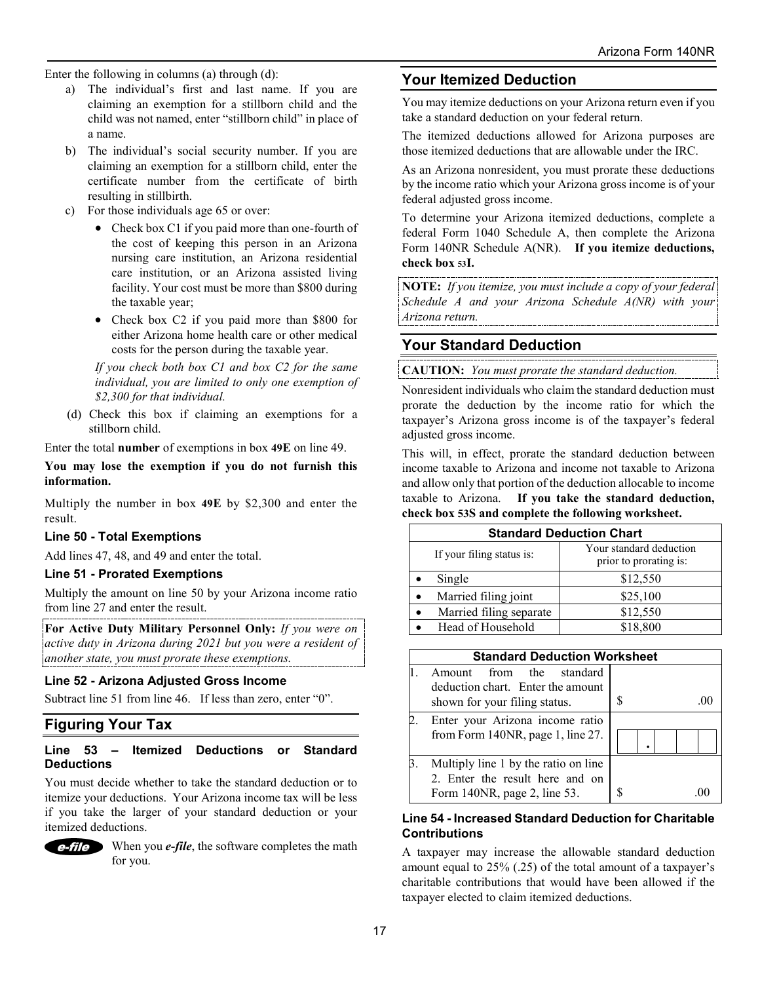Enter the following in columns (a) through (d):

- a) The individual's first and last name. If you are claiming an exemption for a stillborn child and the child was not named, enter "stillborn child" in place of a name.
- b) The individual's social security number. If you are claiming an exemption for a stillborn child, enter the certificate number from the certificate of birth resulting in stillbirth.
- c) For those individuals age 65 or over:
	- Check box C1 if you paid more than one-fourth of the cost of keeping this person in an Arizona nursing care institution, an Arizona residential care institution, or an Arizona assisted living facility. Your cost must be more than \$800 during the taxable year;
	- Check box C2 if you paid more than \$800 for either Arizona home health care or other medical costs for the person during the taxable year.

*If you check both box C1 and box C2 for the same individual, you are limited to only one exemption of \$2,300 for that individual.*

(d) Check this box if claiming an exemptions for a stillborn child.

Enter the total **number** of exemptions in box **49E** on line 49.

**You may lose the exemption if you do not furnish this information.** 

Multiply the number in box **49E** by \$2,300 and enter the result.

#### **Line 50 - Total Exemptions**

Add lines 47, 48, and 49 and enter the total.

#### **Line 51 - Prorated Exemptions**

Multiply the amount on line 50 by your Arizona income ratio from line 27 and enter the result.

**For Active Duty Military Personnel Only:** *If you were on active duty in Arizona during 2021 but you were a resident of another state, you must prorate these exemptions.*

#### **Line 52 - Arizona Adjusted Gross Income**

Subtract line 51 from line 46. If less than zero, enter "0".

## **Figuring Your Tax**

#### **Line 53 – Itemized Deductions or Standard Deductions**

You must decide whether to take the standard deduction or to itemize your deductions. Your Arizona income tax will be less if you take the larger of your standard deduction or your itemized deductions.



When you *e-file*, the software completes the math for you.

## **Your Itemized Deduction**

You may itemize deductions on your Arizona return even if you take a standard deduction on your federal return.

The itemized deductions allowed for Arizona purposes are those itemized deductions that are allowable under the IRC.

As an Arizona nonresident, you must prorate these deductions by the income ratio which your Arizona gross income is of your federal adjusted gross income.

To determine your Arizona itemized deductions, complete a federal Form 1040 Schedule A, then complete the Arizona Form 140NR Schedule A(NR). **If you itemize deductions, check box 53I.**

**NOTE:** *If you itemize, you must include a copy of your federal Schedule A and your Arizona Schedule A(NR) with your Arizona return.*

## **Your Standard Deduction**

**CAUTION:** *You must prorate the standard deduction.*

Nonresident individuals who claim the standard deduction must prorate the deduction by the income ratio for which the taxpayer's Arizona gross income is of the taxpayer's federal adjusted gross income.

This will, in effect, prorate the standard deduction between income taxable to Arizona and income not taxable to Arizona and allow only that portion of the deduction allocable to income taxable to Arizona. **If you take the standard deduction, check box 53S and complete the following worksheet.**

| <b>Standard Deduction Chart</b> |                                                   |  |  |
|---------------------------------|---------------------------------------------------|--|--|
| If your filing status is:       | Your standard deduction<br>prior to prorating is: |  |  |
| Single                          | \$12,550                                          |  |  |
| Married filing joint            | \$25,100                                          |  |  |
| Married filing separate         | \$12,550                                          |  |  |
| Head of Household               | \$18,800                                          |  |  |

| <b>Standard Deduction Worksheet</b>                                                                     |   |  |  |
|---------------------------------------------------------------------------------------------------------|---|--|--|
| from the standard<br>Amount<br>deduction chart. Enter the amount<br>shown for your filing status.       | S |  |  |
| Enter your Arizona income ratio<br>from Form 140NR, page 1, line 27.                                    |   |  |  |
| Multiply line 1 by the ratio on line<br>2. Enter the result here and on<br>Form 140NR, page 2, line 53. |   |  |  |

#### **Line 54 - Increased Standard Deduction for Charitable Contributions**

A taxpayer may increase the allowable standard deduction amount equal to 25% (.25) of the total amount of a taxpayer's charitable contributions that would have been allowed if the taxpayer elected to claim itemized deductions.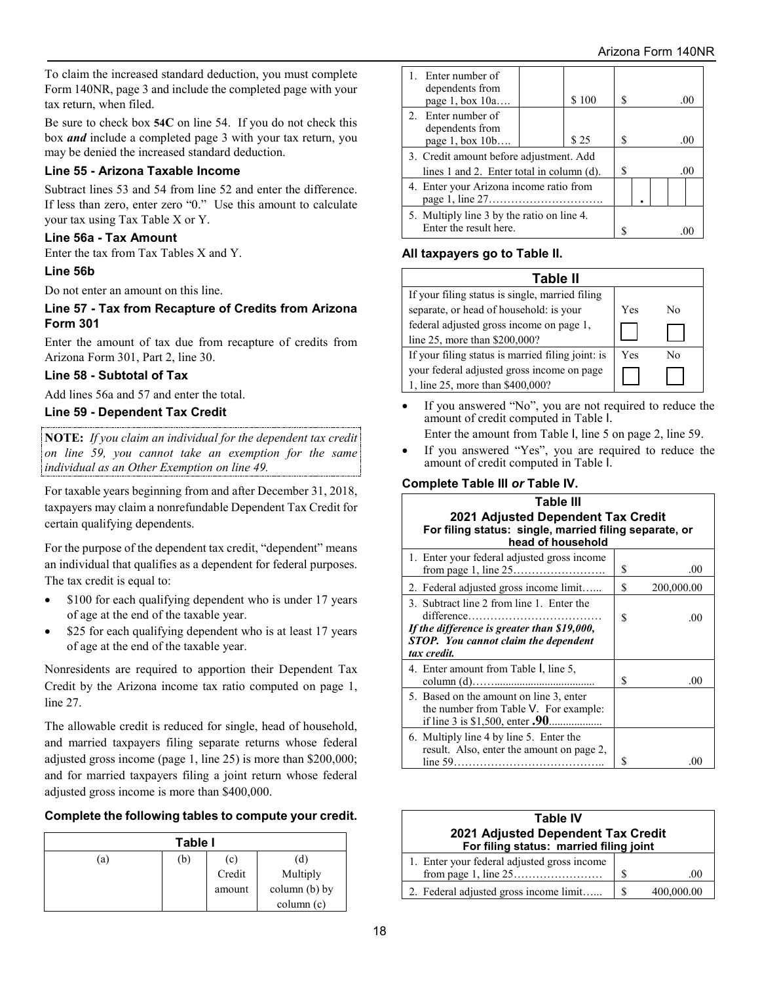To claim the increased standard deduction, you must complete Form 140NR, page 3 and include the completed page with your tax return, when filed.

Be sure to check box **54C** on line 54. If you do not check this box *and* include a completed page 3 with your tax return, you may be denied the increased standard deduction.

#### **Line 55 - Arizona Taxable Income**

Subtract lines 53 and 54 from line 52 and enter the difference. If less than zero, enter zero "0." Use this amount to calculate your tax using Tax Table X or Y.

#### **Line 56a - Tax Amount**

Enter the tax from Tax Tables X and Y.

#### **Line 56b**

Do not enter an amount on this line.

#### **Line 57 - Tax from Recapture of Credits from Arizona Form 301**

Enter the amount of tax due from recapture of credits from Arizona Form 301, Part 2, line 30.

#### **Line 58 - Subtotal of Tax**

Add lines 56a and 57 and enter the total.

### **Line 59 - Dependent Tax Credit**

**NOTE:** *If you claim an individual for the dependent tax credit on line 59, you cannot take an exemption for the same individual as an Other Exemption on line 49.*

For taxable years beginning from and after December 31, 2018, taxpayers may claim a nonrefundable Dependent Tax Credit for certain qualifying dependents.

For the purpose of the dependent tax credit, "dependent" means an individual that qualifies as a dependent for federal purposes. The tax credit is equal to:

- \$100 for each qualifying dependent who is under 17 years of age at the end of the taxable year.
- \$25 for each qualifying dependent who is at least 17 years of age at the end of the taxable year.

Nonresidents are required to apportion their Dependent Tax Credit by the Arizona income tax ratio computed on page 1, line 27.

The allowable credit is reduced for single, head of household, and married taxpayers filing separate returns whose federal adjusted gross income (page 1, line 25) is more than \$200,000; and for married taxpayers filing a joint return whose federal adjusted gross income is more than \$400,000.

#### **Complete the following tables to compute your credit.**

| Table I |     |        |               |  |  |
|---------|-----|--------|---------------|--|--|
| (a)     | (b) | (c)    | (d)           |  |  |
|         |     | Credit | Multiply      |  |  |
|         |     | amount | column (b) by |  |  |
|         |     |        | column (c)    |  |  |

| 1. Enter number of<br>dependents from<br>page $1$ , box $10a$                        | \$100 |   |  | .00 |
|--------------------------------------------------------------------------------------|-------|---|--|-----|
| 2. Enter number of<br>dependents from<br>page $1, box 10b$                           | \$25  |   |  | .00 |
| 3. Credit amount before adjustment. Add<br>lines 1 and 2. Enter total in column (d). |       | S |  | .00 |
| 4. Enter your Arizona income ratio from                                              |       |   |  |     |
| 5. Multiply line 3 by the ratio on line 4.<br>Enter the result here.                 |       |   |  |     |

### **All taxpayers go to Table II.**

| Table II                                          |     |    |
|---------------------------------------------------|-----|----|
| If your filing status is single, married filing   |     |    |
| separate, or head of household: is your           | Yes | N٥ |
| federal adjusted gross income on page 1,          |     |    |
| line 25, more than \$200,000?                     |     |    |
| If your filing status is married filing joint: is | Yes | N٥ |
| your federal adjusted gross income on page        |     |    |
| 1, line 25, more than \$400,000?                  |     |    |

- If you answered "No", you are not required to reduce the amount of credit computed in Table I.
	- Enter the amount from Table I, line 5 on page 2, line 59.
- If you answered "Yes", you are required to reduce the amount of credit computed in Table I.

#### **Complete Table III** *or* **Table IV.**

| Table III                                                                                                                                              |    |            |
|--------------------------------------------------------------------------------------------------------------------------------------------------------|----|------------|
| 2021 Adjusted Dependent Tax Credit<br>For filing status: single, married filing separate, or<br>head of household                                      |    |            |
| 1. Enter your federal adjusted gross income                                                                                                            | \$ | .00        |
| 2. Federal adjusted gross income limit                                                                                                                 | \$ | 200,000.00 |
| 3. Subtract line 2 from line 1. Enter the<br>If the difference is greater than \$19,000,<br><b>STOP.</b> You cannot claim the dependent<br>tax credit. | \$ | .00        |
| 4. Enter amount from Table I, line 5,                                                                                                                  | \$ | .00        |
| 5. Based on the amount on line 3, enter<br>the number from Table V. For example:                                                                       |    |            |
| 6. Multiply line 4 by line 5. Enter the<br>result. Also, enter the amount on page 2,                                                                   |    | -00        |

| <b>Table IV</b><br>2021 Adjusted Dependent Tax Credit<br>For filing status: married filing joint |   |            |  |
|--------------------------------------------------------------------------------------------------|---|------------|--|
| 1. Enter your federal adjusted gross income                                                      | S | .00        |  |
| 2. Federal adjusted gross income limit                                                           | S | 400,000.00 |  |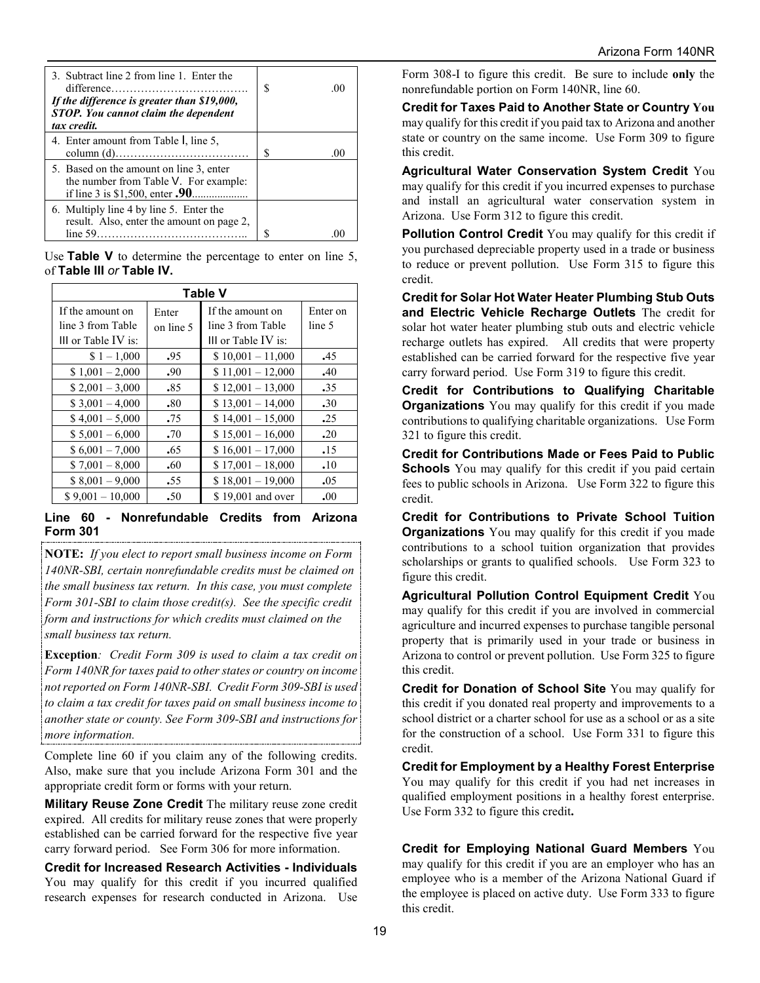| 3. Subtract line 2 from line 1. Enter the<br>If the difference is greater than \$19,000,<br>STOP. You cannot claim the dependent<br>tax credit. | $\Omega$ |
|-------------------------------------------------------------------------------------------------------------------------------------------------|----------|
| 4. Enter amount from Table I, line 5,                                                                                                           | $\Omega$ |
| 5. Based on the amount on line 3, enter<br>the number from Table V. For example:                                                                |          |
| 6. Multiply line 4 by line 5. Enter the<br>result. Also, enter the amount on page 2,                                                            |          |

Use **Table V** to determine the percentage to enter on line 5, of **Table III** *or* **Table IV.**

| <b>Table V</b>      |           |                     |          |  |  |  |  |  |  |
|---------------------|-----------|---------------------|----------|--|--|--|--|--|--|
| If the amount on    | Enter     | If the amount on    | Enter on |  |  |  |  |  |  |
| line 3 from Table   | on line 5 | line 3 from Table   | line 5   |  |  |  |  |  |  |
| III or Table IV is: |           | III or Table IV is: |          |  |  |  |  |  |  |
| $$1 - 1,000$        | .95       | $$10,001 - 11,000$  | .45      |  |  |  |  |  |  |
| $$1,001 - 2,000$    | .90       | $$11,001 - 12,000$  | .40      |  |  |  |  |  |  |
| $$2,001 - 3,000$    | .85       | $$12,001 - 13,000$  | .35      |  |  |  |  |  |  |
| $$3,001 - 4,000$    | .80       | $$13,001 - 14,000$  | .30      |  |  |  |  |  |  |
| $$4,001 - 5,000$    | .75       | $$14,001 - 15,000$  | .25      |  |  |  |  |  |  |
| $$5,001 - 6,000$    | .70       | $$15,001 - 16,000$  | .20      |  |  |  |  |  |  |
| $$6,001 - 7,000$    | .65       | $$16,001 - 17,000$  | .15      |  |  |  |  |  |  |
| $$7,001 - 8,000$    | .60       | $$17,001 - 18,000$  | .10      |  |  |  |  |  |  |
| $$8,001 - 9,000$    | .55       | $$18,001 - 19,000$  | .05      |  |  |  |  |  |  |
| $$9,001 - 10,000$   | .50       | \$19,001 and over   | .00      |  |  |  |  |  |  |

#### **Line 60 - Nonrefundable Credits from Arizona Form 301**

**NOTE:** *If you elect to report small business income on Form 140NR-SBI, certain nonrefundable credits must be claimed on the small business tax return. In this case, you must complete Form 301-SBI to claim those credit(s). See the specific credit form and instructions for which credits must claimed on the small business tax return.*

**Exception***: Credit Form 309 is used to claim a tax credit on Form 140NR for taxes paid to other states or country on income not reported on Form 140NR-SBI. Credit Form 309-SBI is used to claim a tax credit for taxes paid on small business income to another state or county. See Form 309-SBI and instructions for more information.*

Complete line 60 if you claim any of the following credits. Also, make sure that you include Arizona Form 301 and the appropriate credit form or forms with your return.

**Military Reuse Zone Credit** The military reuse zone credit expired. All credits for military reuse zones that were properly established can be carried forward for the respective five year carry forward period. See Form 306 for more information.

**Credit for Increased Research Activities - Individuals**  You may qualify for this credit if you incurred qualified research expenses for research conducted in Arizona. Use Form 308-I to figure this credit. Be sure to include **only** the nonrefundable portion on Form 140NR, line 60.

**Credit for Taxes Paid to Another State or Country You** may qualify for this credit if you paid tax to Arizona and another state or country on the same income. Use Form 309 to figure this credit.

**Agricultural Water Conservation System Credit** You may qualify for this credit if you incurred expenses to purchase and install an agricultural water conservation system in Arizona. Use Form 312 to figure this credit.

**Pollution Control Credit** You may qualify for this credit if you purchased depreciable property used in a trade or business to reduce or prevent pollution. Use Form 315 to figure this credit.

**Credit for Solar Hot Water Heater Plumbing Stub Outs and Electric Vehicle Recharge Outlets** The credit for solar hot water heater plumbing stub outs and electric vehicle recharge outlets has expired. All credits that were property established can be carried forward for the respective five year carry forward period. Use Form 319 to figure this credit.

**Credit for Contributions to Qualifying Charitable Organizations** You may qualify for this credit if you made contributions to qualifying charitable organizations. Use Form 321 to figure this credit.

**Credit for Contributions Made or Fees Paid to Public Schools** You may qualify for this credit if you paid certain fees to public schools in Arizona. Use Form 322 to figure this credit.

**Credit for Contributions to Private School Tuition Organizations** You may qualify for this credit if you made contributions to a school tuition organization that provides scholarships or grants to qualified schools. Use Form 323 to figure this credit.

**Agricultural Pollution Control Equipment Credit** You may qualify for this credit if you are involved in commercial agriculture and incurred expenses to purchase tangible personal property that is primarily used in your trade or business in Arizona to control or prevent pollution. Use Form 325 to figure this credit.

**Credit for Donation of School Site** You may qualify for this credit if you donated real property and improvements to a school district or a charter school for use as a school or as a site for the construction of a school. Use Form 331 to figure this credit.

**Credit for Employment by a Healthy Forest Enterprise** You may qualify for this credit if you had net increases in qualified employment positions in a healthy forest enterprise. Use Form 332 to figure this credit**.**

**Credit for Employing National Guard Members** You may qualify for this credit if you are an employer who has an employee who is a member of the Arizona National Guard if the employee is placed on active duty. Use Form 333 to figure this credit.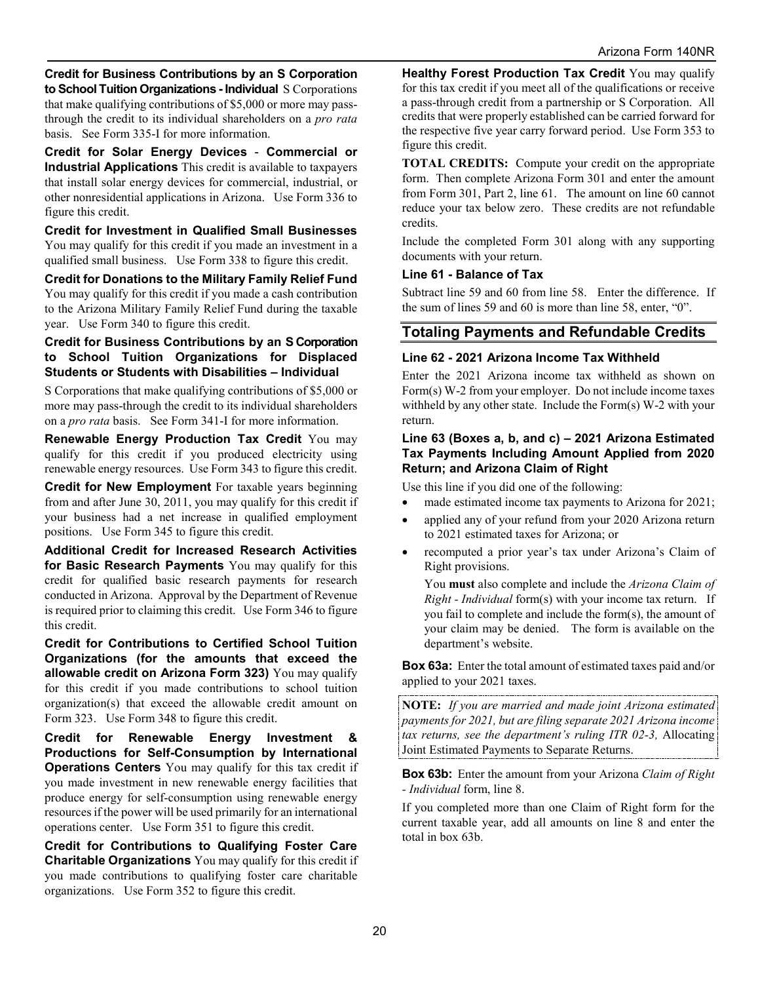**Credit for Business Contributions by an S Corporation to School Tuition Organizations - Individual** S Corporations that make qualifying contributions of \$5,000 or more may passthrough the credit to its individual shareholders on a *pro rata* basis. See Form 335-I for more information.

**Credit for Solar Energy Devices** - **Commercial or Industrial Applications** This credit is available to taxpayers that install solar energy devices for commercial, industrial, or other nonresidential applications in Arizona. Use Form 336 to figure this credit.

**Credit for Investment in Qualified Small Businesses** You may qualify for this credit if you made an investment in a qualified small business. Use Form 338 to figure this credit.

**Credit for Donations to the Military Family Relief Fund** You may qualify for this credit if you made a cash contribution to the Arizona Military Family Relief Fund during the taxable year. Use Form 340 to figure this credit.

#### **Credit for Business Contributions by an S Corporation to School Tuition Organizations for Displaced Students or Students with Disabilities – Individual**

S Corporations that make qualifying contributions of \$5,000 or more may pass-through the credit to its individual shareholders on a *pro rata* basis. See Form 341-I for more information.

**Renewable Energy Production Tax Credit** You may qualify for this credit if you produced electricity using renewable energy resources. Use Form 343 to figure this credit.

**Credit for New Employment** For taxable years beginning from and after June 30, 2011, you may qualify for this credit if your business had a net increase in qualified employment positions. Use Form 345 to figure this credit.

**Additional Credit for Increased Research Activities for Basic Research Payments** You may qualify for this credit for qualified basic research payments for research conducted in Arizona. Approval by the Department of Revenue is required prior to claiming this credit. Use Form 346 to figure this credit.

**Credit for Contributions to Certified School Tuition Organizations (for the amounts that exceed the allowable credit on Arizona Form 323)** You may qualify for this credit if you made contributions to school tuition organization(s) that exceed the allowable credit amount on Form 323. Use Form 348 to figure this credit.

**Credit for Renewable Energy Investment & Productions for Self-Consumption by International Operations Centers** You may qualify for this tax credit if you made investment in new renewable energy facilities that produce energy for self-consumption using renewable energy resources if the power will be used primarily for an international operations center. Use Form 351 to figure this credit.

**Credit for Contributions to Qualifying Foster Care Charitable Organizations** You may qualify for this credit if you made contributions to qualifying foster care charitable organizations. Use Form 352 to figure this credit.

**Healthy Forest Production Tax Credit** You may qualify for this tax credit if you meet all of the qualifications or receive a pass-through credit from a partnership or S Corporation. All credits that were properly established can be carried forward for the respective five year carry forward period. Use Form 353 to figure this credit.

**TOTAL CREDITS:** Compute your credit on the appropriate form. Then complete Arizona Form 301 and enter the amount from Form 301, Part 2, line 61. The amount on line 60 cannot reduce your tax below zero. These credits are not refundable credits.

Include the completed Form 301 along with any supporting documents with your return.

#### **Line 61 - Balance of Tax**

Subtract line 59 and 60 from line 58. Enter the difference. If the sum of lines 59 and 60 is more than line 58, enter, "0".

## **Totaling Payments and Refundable Credits**

#### **Line 62 - 2021 Arizona Income Tax Withheld**

Enter the 2021 Arizona income tax withheld as shown on Form(s) W-2 from your employer. Do not include income taxes withheld by any other state. Include the Form(s) W-2 with your return.

#### **Line 63 (Boxes a, b, and c) – 2021 Arizona Estimated Tax Payments Including Amount Applied from 2020 Return; and Arizona Claim of Right**

Use this line if you did one of the following:

- made estimated income tax payments to Arizona for 2021;
- applied any of your refund from your 2020 Arizona return to 2021 estimated taxes for Arizona; or
- recomputed a prior year's tax under Arizona's Claim of Right provisions.

You **must** also complete and include the *Arizona Claim of Right - Individual* form(s) with your income tax return. If you fail to complete and include the form(s), the amount of your claim may be denied. The form is available on the department's website.

**Box 63a:** Enter the total amount of estimated taxes paid and/or applied to your 2021 taxes.

**NOTE:** *If you are married and made joint Arizona estimated payments for 2021, but are filing separate 2021 Arizona income tax returns, see the department's ruling ITR 02-3,* Allocating Joint Estimated Payments to Separate Returns.

**Box 63b:** Enter the amount from your Arizona *Claim of Right - Individual* form, line 8.

If you completed more than one Claim of Right form for the current taxable year, add all amounts on line 8 and enter the total in box 63b.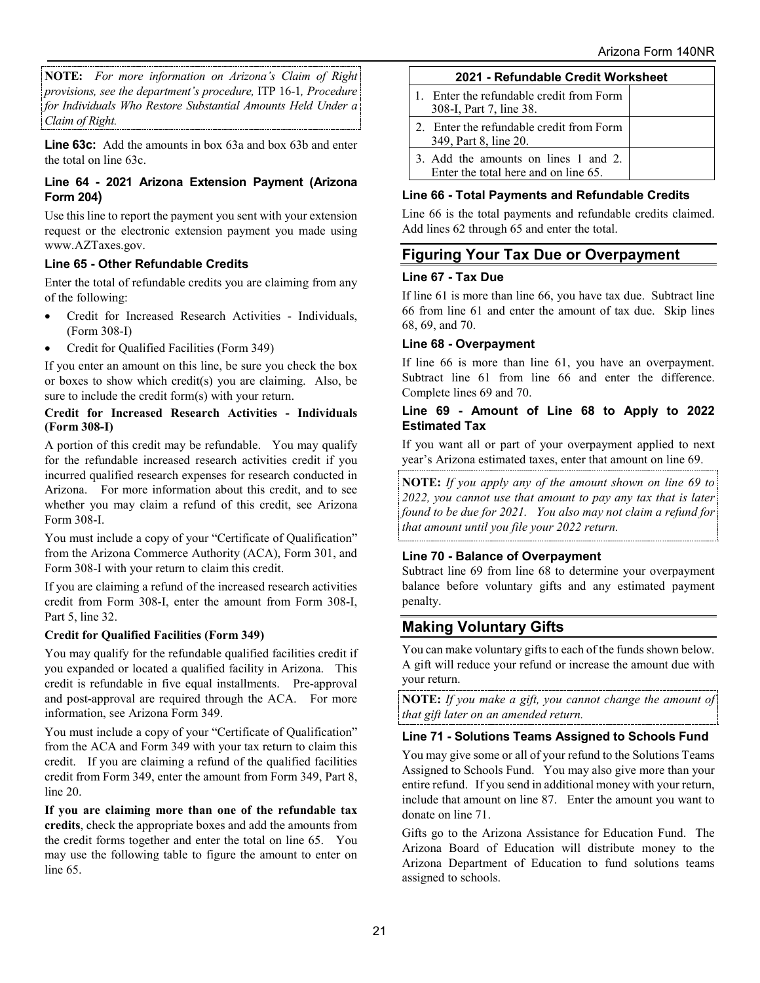**NOTE:** *For more information on Arizona's Claim of Right provisions, see the department's procedure,* ITP 16-1*, Procedure for Individuals Who Restore Substantial Amounts Held Under a Claim of Right.*

**Line 63c:** Add the amounts in box 63a and box 63b and enter the total on line 63c.

#### **Line 64 - 2021 Arizona Extension Payment (Arizona Form 204)**

Use this line to report the payment you sent with your extension request or the electronic extension payment you made using www.AZTaxes.gov.

### **Line 65 - Other Refundable Credits**

Enter the total of refundable credits you are claiming from any of the following:

- Credit for Increased Research Activities Individuals, (Form 308-I)
- Credit for Qualified Facilities (Form 349)

If you enter an amount on this line, be sure you check the box or boxes to show which credit(s) you are claiming. Also, be sure to include the credit form(s) with your return.

#### **Credit for Increased Research Activities - Individuals (Form 308-I)**

A portion of this credit may be refundable. You may qualify for the refundable increased research activities credit if you incurred qualified research expenses for research conducted in Arizona. For more information about this credit, and to see whether you may claim a refund of this credit, see Arizona Form 308-I.

You must include a copy of your "Certificate of Qualification" from the Arizona Commerce Authority (ACA), Form 301, and Form 308-I with your return to claim this credit.

If you are claiming a refund of the increased research activities credit from Form 308-I, enter the amount from Form 308-I, Part 5, line 32.

## **Credit for Qualified Facilities (Form 349)**

You may qualify for the refundable qualified facilities credit if you expanded or located a qualified facility in Arizona. This credit is refundable in five equal installments. Pre-approval and post-approval are required through the ACA. For more information, see Arizona Form 349.

You must include a copy of your "Certificate of Qualification" from the ACA and Form 349 with your tax return to claim this credit. If you are claiming a refund of the qualified facilities credit from Form 349, enter the amount from Form 349, Part 8, line 20.

**If you are claiming more than one of the refundable tax credits**, check the appropriate boxes and add the amounts from the credit forms together and enter the total on line 65. You may use the following table to figure the amount to enter on line 65.

| 2021 - Refundable Credit Worksheet                                           |  |  |  |  |  |
|------------------------------------------------------------------------------|--|--|--|--|--|
| 1. Enter the refundable credit from Form<br>308-I, Part 7, line 38.          |  |  |  |  |  |
| 2. Enter the refundable credit from Form<br>349, Part 8, line 20.            |  |  |  |  |  |
| 3. Add the amounts on lines 1 and 2.<br>Enter the total here and on line 65. |  |  |  |  |  |

### **Line 66 - Total Payments and Refundable Credits**

Line 66 is the total payments and refundable credits claimed. Add lines 62 through 65 and enter the total.

## **Figuring Your Tax Due or Overpayment**

#### **Line 67 - Tax Due**

If line 61 is more than line 66, you have tax due. Subtract line 66 from line 61 and enter the amount of tax due. Skip lines 68, 69, and 70.

#### **Line 68 - Overpayment**

If line 66 is more than line 61, you have an overpayment. Subtract line 61 from line 66 and enter the difference. Complete lines 69 and 70.

#### **Line 69 - Amount of Line 68 to Apply to 2022 Estimated Tax**

If you want all or part of your overpayment applied to next year's Arizona estimated taxes, enter that amount on line 69.

**NOTE:** *If you apply any of the amount shown on line 69 to 2022, you cannot use that amount to pay any tax that is later found to be due for 2021. You also may not claim a refund for that amount until you file your 2022 return.*

#### **Line 70 - Balance of Overpayment**

Subtract line 69 from line 68 to determine your overpayment balance before voluntary gifts and any estimated payment penalty.

## **Making Voluntary Gifts**

You can make voluntary gifts to each of the funds shown below. A gift will reduce your refund or increase the amount due with your return.

**NOTE:** *If you make a gift, you cannot change the amount of that gift later on an amended return.*

#### **Line 71 - Solutions Teams Assigned to Schools Fund**

You may give some or all of your refund to the Solutions Teams Assigned to Schools Fund. You may also give more than your entire refund. If you send in additional money with your return, include that amount on line 87. Enter the amount you want to donate on line 71.

Gifts go to the Arizona Assistance for Education Fund. The Arizona Board of Education will distribute money to the Arizona Department of Education to fund solutions teams assigned to schools.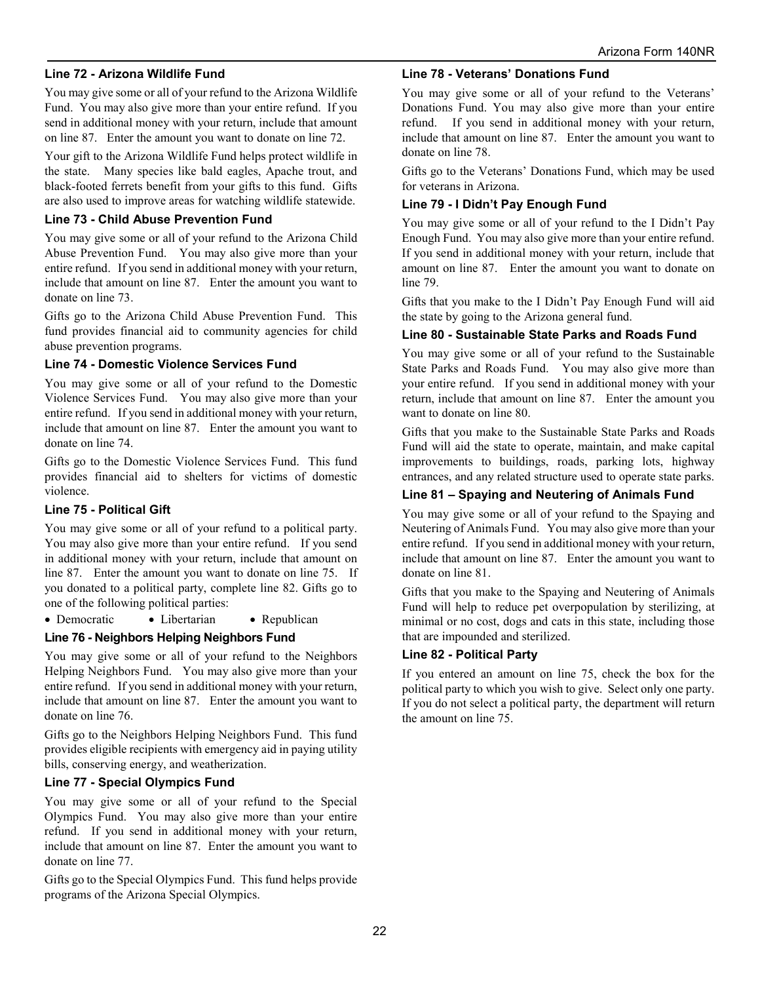#### **Line 72 - Arizona Wildlife Fund**

You may give some or all of your refund to the Arizona Wildlife Fund. You may also give more than your entire refund. If you send in additional money with your return, include that amount on line 87. Enter the amount you want to donate on line 72.

Your gift to the Arizona Wildlife Fund helps protect wildlife in the state. Many species like bald eagles, Apache trout, and black-footed ferrets benefit from your gifts to this fund. Gifts are also used to improve areas for watching wildlife statewide.

#### **Line 73 - Child Abuse Prevention Fund**

You may give some or all of your refund to the Arizona Child Abuse Prevention Fund. You may also give more than your entire refund. If you send in additional money with your return, include that amount on line 87. Enter the amount you want to donate on line 73.

Gifts go to the Arizona Child Abuse Prevention Fund. This fund provides financial aid to community agencies for child abuse prevention programs.

#### **Line 74 - Domestic Violence Services Fund**

You may give some or all of your refund to the Domestic Violence Services Fund. You may also give more than your entire refund. If you send in additional money with your return, include that amount on line 87. Enter the amount you want to donate on line 74.

Gifts go to the Domestic Violence Services Fund. This fund provides financial aid to shelters for victims of domestic violence.

#### **Line 75 - Political Gift**

You may give some or all of your refund to a political party. You may also give more than your entire refund. If you send in additional money with your return, include that amount on line 87. Enter the amount you want to donate on line 75. If you donated to a political party, complete line 82. Gifts go to one of the following political parties:

• Democratic • Libertarian • Republican

#### **Line 76 - Neighbors Helping Neighbors Fund**

You may give some or all of your refund to the Neighbors Helping Neighbors Fund. You may also give more than your entire refund. If you send in additional money with your return, include that amount on line 87. Enter the amount you want to donate on line 76.

Gifts go to the Neighbors Helping Neighbors Fund. This fund provides eligible recipients with emergency aid in paying utility bills, conserving energy, and weatherization.

#### **Line 77 - Special Olympics Fund**

You may give some or all of your refund to the Special Olympics Fund. You may also give more than your entire refund. If you send in additional money with your return, include that amount on line 87. Enter the amount you want to donate on line 77.

Gifts go to the Special Olympics Fund. This fund helps provide programs of the Arizona Special Olympics.

#### **Line 78 - Veterans' Donations Fund**

You may give some or all of your refund to the Veterans' Donations Fund. You may also give more than your entire refund. If you send in additional money with your return, include that amount on line 87. Enter the amount you want to donate on line 78.

Gifts go to the Veterans' Donations Fund, which may be used for veterans in Arizona.

#### **Line 79 - I Didn't Pay Enough Fund**

You may give some or all of your refund to the I Didn't Pay Enough Fund. You may also give more than your entire refund. If you send in additional money with your return, include that amount on line 87. Enter the amount you want to donate on line 79.

Gifts that you make to the I Didn't Pay Enough Fund will aid the state by going to the Arizona general fund.

#### **Line 80 - Sustainable State Parks and Roads Fund**

You may give some or all of your refund to the Sustainable State Parks and Roads Fund. You may also give more than your entire refund. If you send in additional money with your return, include that amount on line 87. Enter the amount you want to donate on line 80.

Gifts that you make to the Sustainable State Parks and Roads Fund will aid the state to operate, maintain, and make capital improvements to buildings, roads, parking lots, highway entrances, and any related structure used to operate state parks.

#### **Line 81 – Spaying and Neutering of Animals Fund**

You may give some or all of your refund to the Spaying and Neutering of Animals Fund. You may also give more than your entire refund. If you send in additional money with your return, include that amount on line 87. Enter the amount you want to donate on line 81.

Gifts that you make to the Spaying and Neutering of Animals Fund will help to reduce pet overpopulation by sterilizing, at minimal or no cost, dogs and cats in this state, including those that are impounded and sterilized.

#### **Line 82 - Political Party**

If you entered an amount on line 75, check the box for the political party to which you wish to give. Select only one party. If you do not select a political party, the department will return the amount on line 75.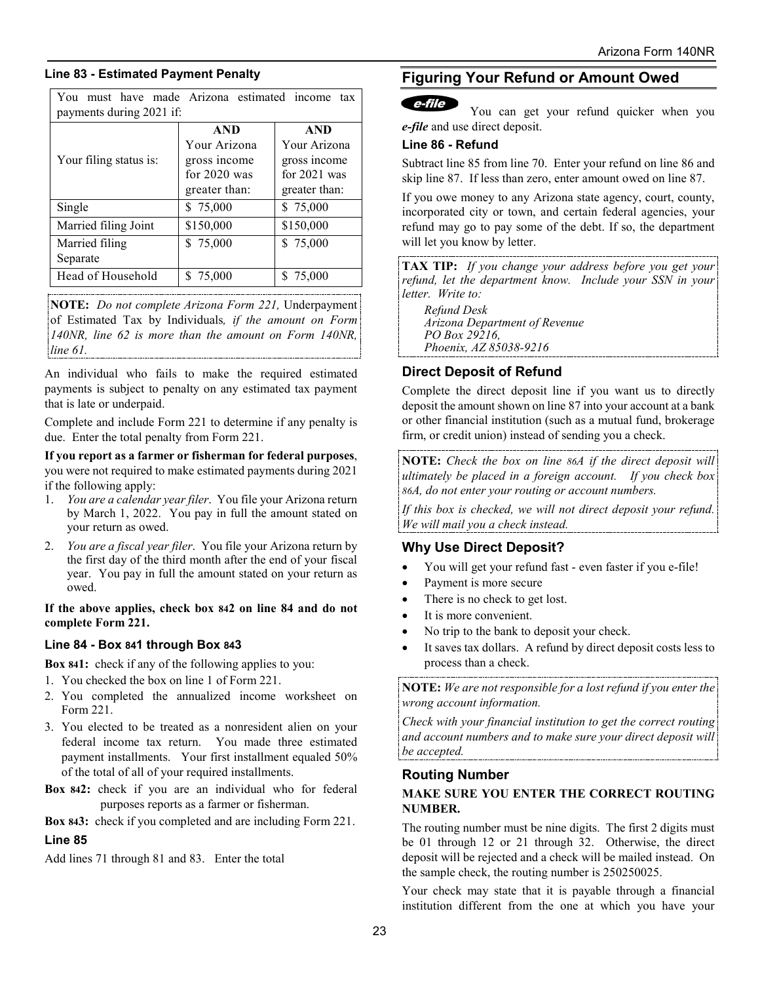#### **Line 83 - Estimated Payment Penalty**

Married filing

You must have made Arizona estimated income tax payments during 2021 if: Your filing status is: **AND** Your Arizona gross income for 2020 was greater than: **AND** Your Arizona gross income for 2021 was greater than: Single \$ 75,000 \$ 75,000 Married filing Joint | \$150,000 | \$150,000

Separate Head of Household  $\begin{array}{|l|c|c|c|c|} \hline \text{S} & 75,000 \hline \end{array}$  \ \, \$ 75,000 **NOTE:** *Do not complete Arizona Form 221,* Underpayment of Estimated Tax by Individuals*, if the amount on Form 140NR, line 62 is more than the amount on Form 140NR,* 

 $$75,000$   $$75,000$ 

*line 61.*  An individual who fails to make the required estimated payments is subject to penalty on any estimated tax payment that is late or underpaid.

Complete and include Form 221 to determine if any penalty is due. Enter the total penalty from Form 221.

**If you report as a farmer or fisherman for federal purposes**, you were not required to make estimated payments during 2021 if the following apply:

- 1. *You are a calendar year filer*. You file your Arizona return by March 1, 2022. You pay in full the amount stated on your return as owed.
- 2. *You are a fiscal year filer*. You file your Arizona return by the first day of the third month after the end of your fiscal year. You pay in full the amount stated on your return as owed.

**If the above applies, check box 842 on line 84 and do not complete Form 221.**

#### **Line 84 - Box 841 through Box 843**

**Box 841:** check if any of the following applies to you:

- 1. You checked the box on line 1 of Form 221.
- 2. You completed the annualized income worksheet on Form 221.
- 3. You elected to be treated as a nonresident alien on your federal income tax return. You made three estimated payment installments. Your first installment equaled 50% of the total of all of your required installments.
- **Box 842:** check if you are an individual who for federal purposes reports as a farmer or fisherman.

**Box 843:** check if you completed and are including Form 221.

#### **Line 85**

Add lines 71 through 81 and 83. Enter the total

## **Figuring Your Refund or Amount Owed**

## $e$ -file

You can get your refund quicker when you *e-file* and use direct deposit.

#### **Line 86 - Refund**

Subtract line 85 from line 70. Enter your refund on line 86 and skip line 87. If less than zero, enter amount owed on line 87.

If you owe money to any Arizona state agency, court, county, incorporated city or town, and certain federal agencies, your refund may go to pay some of the debt. If so, the department will let you know by letter.

**TAX TIP:** *If you change your address before you get your refund, let the department know. Include your SSN in your letter. Write to:* 

*Refund Desk Arizona Department of Revenue PO Box 29216, Phoenix, AZ 85038-9216* 

## **Direct Deposit of Refund**

Complete the direct deposit line if you want us to directly deposit the amount shown on line 87 into your account at a bank or other financial institution (such as a mutual fund, brokerage firm, or credit union) instead of sending you a check.

**NOTE:** *Check the box on line 86A if the direct deposit will ultimately be placed in a foreign account. If you check box 86A, do not enter your routing or account numbers.* 

*If this box is checked, we will not direct deposit your refund. We will mail you a check instead.* 

#### **Why Use Direct Deposit?**

- You will get your refund fast even faster if you e-file!
- Payment is more secure
- There is no check to get lost.
- It is more convenient.
- No trip to the bank to deposit your check.
- It saves tax dollars. A refund by direct deposit costs less to process than a check.

**NOTE:** *We are not responsible for a lost refund if you enter the wrong account information.* 

*Check with your financial institution to get the correct routing and account numbers and to make sure your direct deposit will be accepted.*

#### **Routing Number**

### **MAKE SURE YOU ENTER THE CORRECT ROUTING NUMBER.**

The routing number must be nine digits. The first 2 digits must be 01 through 12 or 21 through 32. Otherwise, the direct deposit will be rejected and a check will be mailed instead. On the sample check, the routing number is 250250025.

Your check may state that it is payable through a financial institution different from the one at which you have your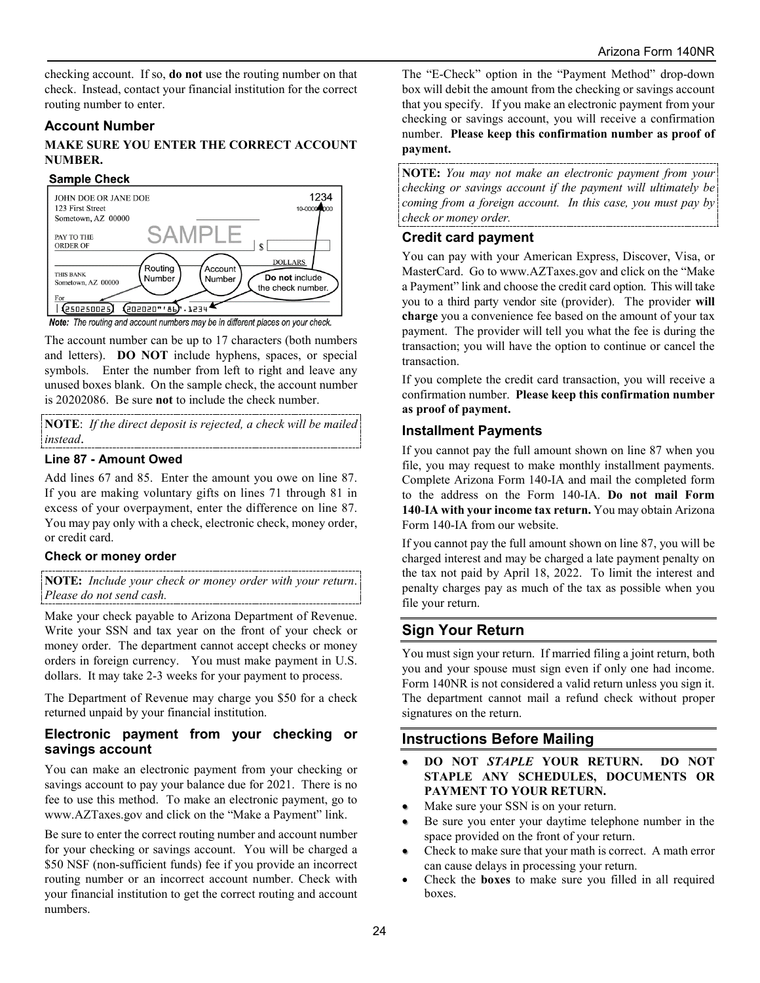checking account. If so, **do not** use the routing number on that check. Instead, contact your financial institution for the correct routing number to enter.

#### **Account Number**

#### **MAKE SURE YOU ENTER THE CORRECT ACCOUNT NUMBER.**

#### **Sample Check**



The account number can be up to 17 characters (both numbers and letters). **DO NOT** include hyphens, spaces, or special symbols. Enter the number from left to right and leave any unused boxes blank. On the sample check, the account number is 20202086. Be sure **not** to include the check number.

**NOTE**: *If the direct deposit is rejected, a check will be mailed instead*.

#### **Line 87 - Amount Owed**

Add lines 67 and 85. Enter the amount you owe on line 87. If you are making voluntary gifts on lines 71 through 81 in excess of your overpayment, enter the difference on line 87. You may pay only with a check, electronic check, money order, or credit card.

#### **Check or money order**

**NOTE:** *Include your check or money order with your return*. *Please do not send cash.*

Make your check payable to Arizona Department of Revenue. Write your SSN and tax year on the front of your check or money order. The department cannot accept checks or money orders in foreign currency. You must make payment in U.S. dollars. It may take 2-3 weeks for your payment to process.

The Department of Revenue may charge you \$50 for a check returned unpaid by your financial institution.

#### **Electronic payment from your checking or savings account**

You can make an electronic payment from your checking or savings account to pay your balance due for 2021. There is no fee to use this method. To make an electronic payment, go to www.AZTaxes.gov and click on the "Make a Payment" link.

Be sure to enter the correct routing number and account number for your checking or savings account. You will be charged a \$50 NSF (non-sufficient funds) fee if you provide an incorrect routing number or an incorrect account number. Check with your financial institution to get the correct routing and account numbers.

The "E-Check" option in the "Payment Method" drop-down box will debit the amount from the checking or savings account that you specify. If you make an electronic payment from your checking or savings account, you will receive a confirmation number. **Please keep this confirmation number as proof of payment.**

**NOTE:** *You may not make an electronic payment from your checking or savings account if the payment will ultimately be coming from a foreign account. In this case, you must pay by check or money order.* 

#### **Credit card payment**

You can pay with your American Express, Discover, Visa, or MasterCard. Go to www.AZTaxes.gov and click on the "Make a Payment" link and choose the credit card option. This will take you to a third party vendor site (provider). The provider **will charge** you a convenience fee based on the amount of your tax payment. The provider will tell you what the fee is during the transaction; you will have the option to continue or cancel the transaction.

If you complete the credit card transaction, you will receive a confirmation number. **Please keep this confirmation number as proof of payment.**

## **Installment Payments**

If you cannot pay the full amount shown on line 87 when you file, you may request to make monthly installment payments. Complete Arizona Form 140-IA and mail the completed form to the address on the Form 140-IA. **Do not mail Form 140**-**IA with your income tax return.** You may obtain Arizona Form 140-IA from our website.

If you cannot pay the full amount shown on line 87, you will be charged interest and may be charged a late payment penalty on the tax not paid by April 18, 2022. To limit the interest and penalty charges pay as much of the tax as possible when you file your return.

## **Sign Your Return**

You must sign your return. If married filing a joint return, both you and your spouse must sign even if only one had income. Form 140NR is not considered a valid return unless you sign it. The department cannot mail a refund check without proper signatures on the return.

## **Instructions Before Mailing**

- **DO NOT** *STAPLE* **YOUR RETURN. DO NOT STAPLE ANY SCHEDULES, DOCUMENTS OR PAYMENT TO YOUR RETURN.**
- Make sure your SSN is on your return.
- Be sure you enter your daytime telephone number in the space provided on the front of your return.
- Check to make sure that your math is correct. A math error can cause delays in processing your return.
- Check the **boxes** to make sure you filled in all required boxes.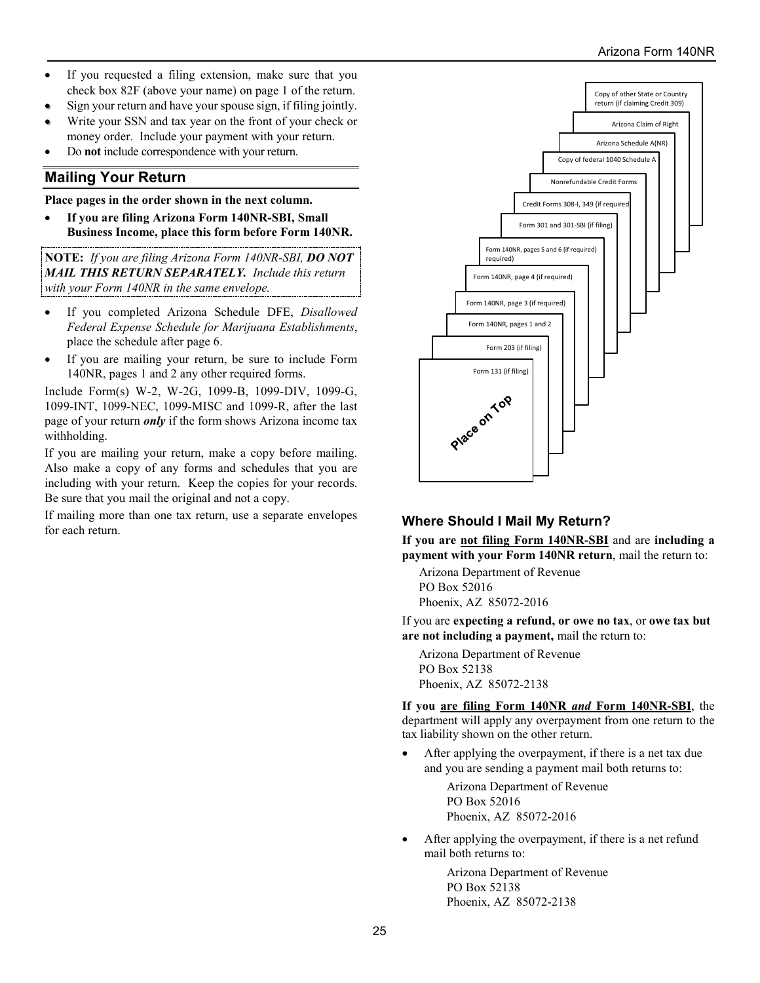- If you requested a filing extension, make sure that you check box 82F (above your name) on page 1 of the return.
- Sign your return and have your spouse sign, if filing jointly.
- Write your SSN and tax year on the front of your check or money order. Include your payment with your return.
- Do **not** include correspondence with your return.

## **Mailing Your Return**

**Place pages in the order shown in the next column.** 

• **If you are filing Arizona Form 140NR-SBI, Small Business Income, place this form before Form 140NR.** 

**NOTE:** *If you are filing Arizona Form 140NR-SBI, DO NOT MAIL THIS RETURN SEPARATELY. Include this return with your Form 140NR in the same envelope.*

- If you completed Arizona Schedule DFE, *Disallowed Federal Expense Schedule for Marijuana Establishments*, place the schedule after page 6.
- If you are mailing your return, be sure to include Form 140NR, pages 1 and 2 any other required forms.

Include Form(s) W-2, W-2G, 1099-B, 1099-DIV, 1099-G, 1099-INT, 1099-NEC, 1099-MISC and 1099-R, after the last page of your return *only* if the form shows Arizona income tax withholding.

If you are mailing your return, make a copy before mailing. Also make a copy of any forms and schedules that you are including with your return. Keep the copies for your records. Be sure that you mail the original and not a copy.

If mailing more than one tax return, use a separate envelopes If maning more than one tax return, use a separate envelopes **Where Should I Mail My Return?** *for each return.* 



**If you are not filing Form 140NR-SBI** and are **including a payment with your Form 140NR return**, mail the return to:

Arizona Department of Revenue PO Box 52016 Phoenix, AZ 85072-2016

If you are **expecting a refund, or owe no tax**, or **owe tax but are not including a payment,** mail the return to:

Arizona Department of Revenue PO Box 52138 Phoenix, AZ 85072-2138

**If you are filing Form 140NR** *and* **Form 140NR-SBI**, the department will apply any overpayment from one return to the tax liability shown on the other return.

After applying the overpayment, if there is a net tax due and you are sending a payment mail both returns to:

> Arizona Department of Revenue PO Box 52016 Phoenix, AZ 85072-2016

After applying the overpayment, if there is a net refund mail both returns to:

> Arizona Department of Revenue PO Box 52138 Phoenix, AZ 85072-2138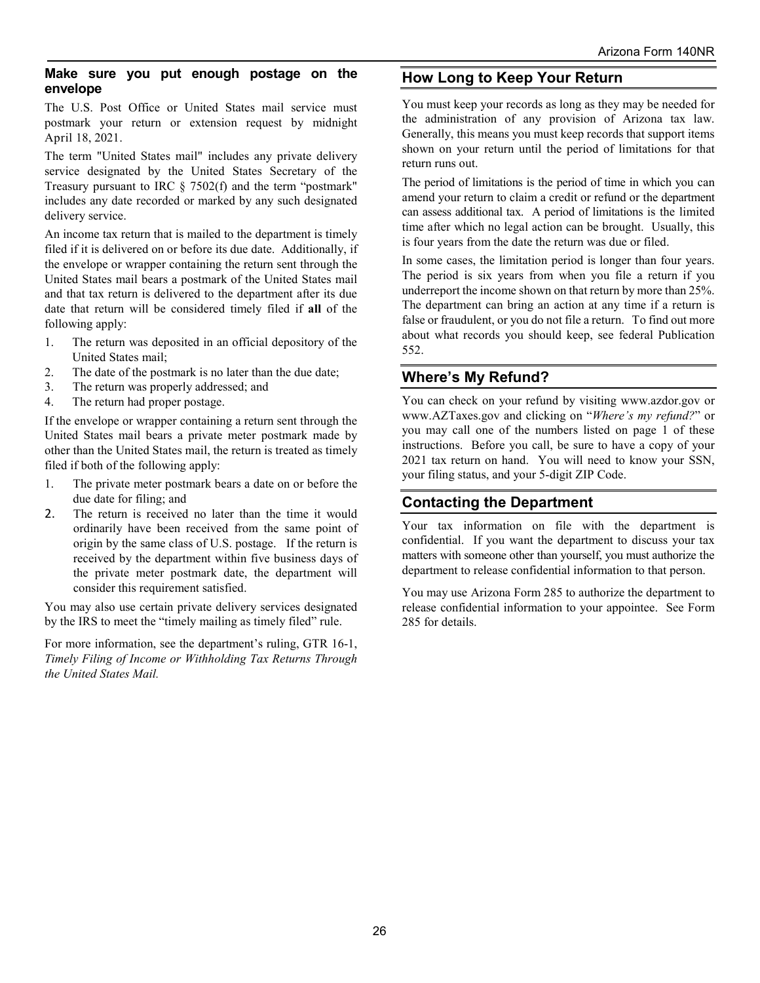#### **Make sure you put enough postage on the envelope**

The U.S. Post Office or United States mail service must postmark your return or extension request by midnight April 18, 2021.

The term "United States mail" includes any private delivery service designated by the United States Secretary of the Treasury pursuant to IRC § 7502(f) and the term "postmark" includes any date recorded or marked by any such designated delivery service.

An income tax return that is mailed to the department is timely filed if it is delivered on or before its due date. Additionally, if the envelope or wrapper containing the return sent through the United States mail bears a postmark of the United States mail and that tax return is delivered to the department after its due date that return will be considered timely filed if **all** of the following apply:

- 1. The return was deposited in an official depository of the United States mail;
- 2. The date of the postmark is no later than the due date;
- 3. The return was properly addressed; and
- 4. The return had proper postage.

If the envelope or wrapper containing a return sent through the United States mail bears a private meter postmark made by other than the United States mail, the return is treated as timely filed if both of the following apply:

- 1. The private meter postmark bears a date on or before the due date for filing; and
- 2. The return is received no later than the time it would ordinarily have been received from the same point of origin by the same class of U.S. postage. If the return is received by the department within five business days of the private meter postmark date, the department will consider this requirement satisfied.

You may also use certain private delivery services designated by the IRS to meet the "timely mailing as timely filed" rule.

For more information, see the department's ruling, GTR 16-1, *Timely Filing of Income or Withholding Tax Returns Through the United States Mail.*

## **How Long to Keep Your Return**

You must keep your records as long as they may be needed for the administration of any provision of Arizona tax law. Generally, this means you must keep records that support items shown on your return until the period of limitations for that return runs out.

The period of limitations is the period of time in which you can amend your return to claim a credit or refund or the department can assess additional tax. A period of limitations is the limited time after which no legal action can be brought. Usually, this is four years from the date the return was due or filed.

In some cases, the limitation period is longer than four years. The period is six years from when you file a return if you underreport the income shown on that return by more than 25%. The department can bring an action at any time if a return is false or fraudulent, or you do not file a return. To find out more about what records you should keep, see federal Publication 552.

## **Where's My Refund?**

You can check on your refund by visiting www.azdor.gov or www.AZTaxes.gov and clicking on "*Where's my refund?*" or you may call one of the numbers listed on page 1 of these instructions. Before you call, be sure to have a copy of your 2021 tax return on hand. You will need to know your SSN, your filing status, and your 5-digit ZIP Code.

## **Contacting the Department**

Your tax information on file with the department is confidential. If you want the department to discuss your tax matters with someone other than yourself, you must authorize the department to release confidential information to that person.

You may use Arizona Form 285 to authorize the department to release confidential information to your appointee. See Form 285 for details.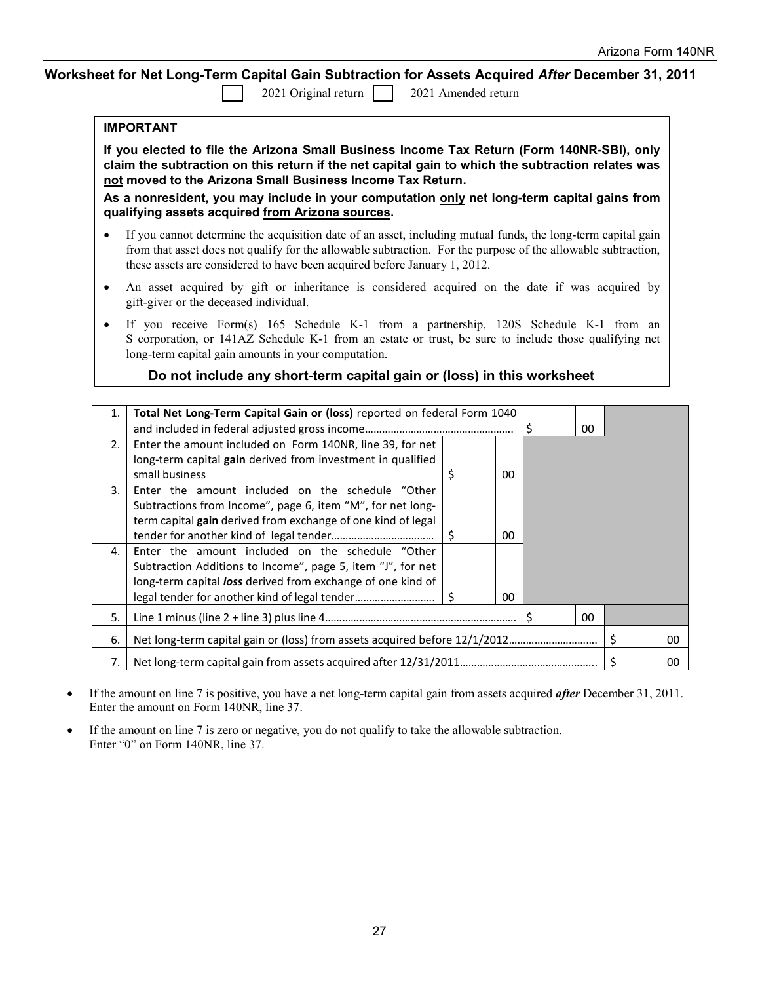### **Worksheet for Net Long-Term Capital Gain Subtraction for Assets Acquired** *After* **December 31, 2011**

2021 Original return 2021 Amended return

| IMPORTANT |
|-----------|
|-----------|

**If you elected to file the Arizona Small Business Income Tax Return (Form 140NR-SBI), only claim the subtraction on this return if the net capital gain to which the subtraction relates was not moved to the Arizona Small Business Income Tax Return.**

**As a nonresident, you may include in your computation only net long-term capital gains from qualifying assets acquired from Arizona sources.** 

- If you cannot determine the acquisition date of an asset, including mutual funds, the long-term capital gain from that asset does not qualify for the allowable subtraction. For the purpose of the allowable subtraction, these assets are considered to have been acquired before January 1, 2012.
- An asset acquired by gift or inheritance is considered acquired on the date if was acquired by gift-giver or the deceased individual.
- If you receive Form(s) 165 Schedule K-1 from a partnership, 120S Schedule K-1 from an S corporation, or 141AZ Schedule K-1 from an estate or trust, be sure to include those qualifying net long-term capital gain amounts in your computation.

### **Do not include any short-term capital gain or (loss) in this worksheet**

| 1. | Total Net Long-Term Capital Gain or (loss) reported on federal Form 1040 |  |    |  |    |    |
|----|--------------------------------------------------------------------------|--|----|--|----|----|
|    |                                                                          |  |    |  | 00 |    |
| 2. | Enter the amount included on Form 140NR, line 39, for net                |  |    |  |    |    |
|    | long-term capital gain derived from investment in qualified              |  |    |  |    |    |
|    | small business                                                           |  | 00 |  |    |    |
| 3. | Enter the amount included on the schedule "Other                         |  |    |  |    |    |
|    | Subtractions from Income", page 6, item "M", for net long-               |  |    |  |    |    |
|    | term capital gain derived from exchange of one kind of legal             |  |    |  |    |    |
|    |                                                                          |  | 00 |  |    |    |
| 4. | Enter the amount included on the schedule "Other                         |  |    |  |    |    |
|    | Subtraction Additions to Income", page 5, item "J", for net              |  |    |  |    |    |
|    | long-term capital loss derived from exchange of one kind of              |  |    |  |    |    |
|    |                                                                          |  | 00 |  |    |    |
| 5. | 00                                                                       |  |    |  |    |    |
| 6. |                                                                          |  |    |  |    | 00 |
| 7. |                                                                          |  |    |  |    | 00 |

- If the amount on line 7 is positive, you have a net long-term capital gain from assets acquired *after* December 31, 2011. Enter the amount on Form 140NR, line 37.
- If the amount on line 7 is zero or negative, you do not qualify to take the allowable subtraction. Enter "0" on Form 140NR, line 37.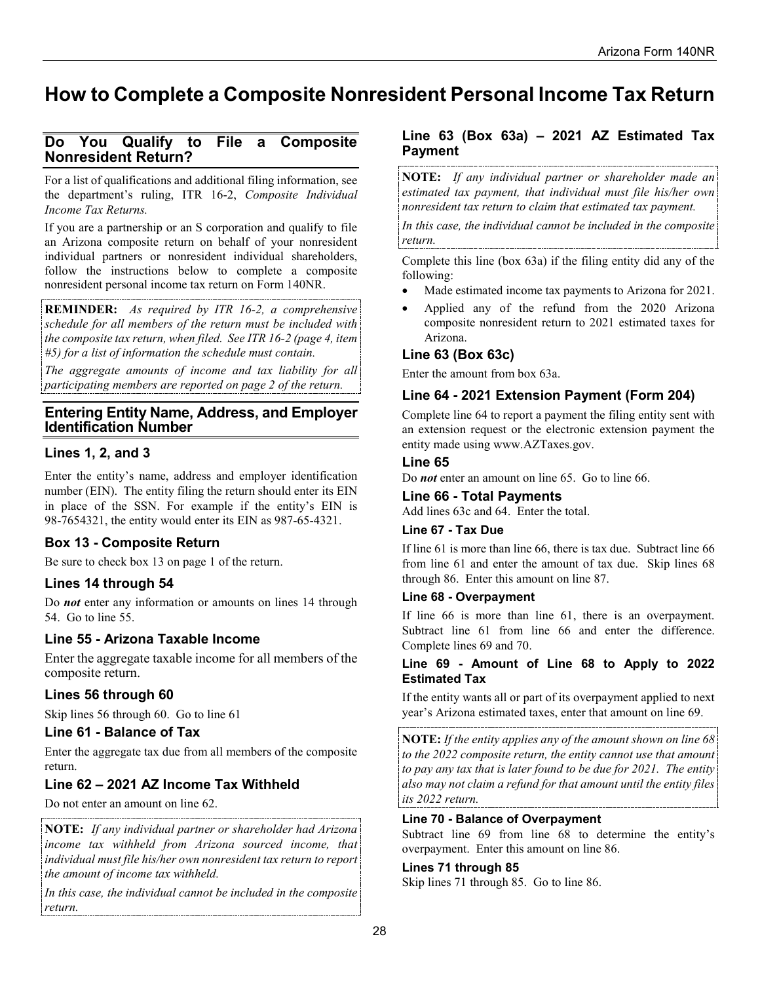# **How to Complete a Composite Nonresident Personal Income Tax Return**

## **Do You Qualify to File a Composite Nonresident Return?**

For a list of qualifications and additional filing information, see the department's ruling, ITR 16-2, *Composite Individual Income Tax Returns.*

If you are a partnership or an S corporation and qualify to file an Arizona composite return on behalf of your nonresident individual partners or nonresident individual shareholders, follow the instructions below to complete a composite nonresident personal income tax return on Form 140NR.

**REMINDER:** *As required by ITR 16-2, a comprehensive schedule for all members of the return must be included with the composite tax return, when filed. See ITR 16-2 (page 4, item #5) for a list of information the schedule must contain.*

*The aggregate amounts of income and tax liability for all participating members are reported on page 2 of the return.*

## **Entering Entity Name, Address, and Employer Identification Number**

## **Lines 1, 2, and 3**

Enter the entity's name, address and employer identification number (EIN). The entity filing the return should enter its EIN in place of the SSN. For example if the entity's EIN is 98-7654321, the entity would enter its EIN as 987-65-4321.

## **Box 13 - Composite Return**

Be sure to check box 13 on page 1 of the return.

## **Lines 14 through 54**

Do *not* enter any information or amounts on lines 14 through 54. Go to line 55.

## **Line 55 - Arizona Taxable Income**

Enter the aggregate taxable income for all members of the composite return.

## **Lines 56 through 60**

Skip lines 56 through 60. Go to line 61

#### **Line 61 - Balance of Tax**

Enter the aggregate tax due from all members of the composite return.

## **Line 62 – 2021 AZ Income Tax Withheld**

Do not enter an amount on line 62.

**NOTE:** *If any individual partner or shareholder had Arizona income tax withheld from Arizona sourced income, that individual must file his/her own nonresident tax return to report the amount of income tax withheld.*

*In this case, the individual cannot be included in the composite return.* 

## **Line 63 (Box 63a) – 2021 AZ Estimated Tax Payment**

**NOTE:** *If any individual partner or shareholder made an estimated tax payment, that individual must file his/her own nonresident tax return to claim that estimated tax payment.* 

*In this case, the individual cannot be included in the composite return.* 

Complete this line (box 63a) if the filing entity did any of the following:

- Made estimated income tax payments to Arizona for 2021.
- Applied any of the refund from the 2020 Arizona composite nonresident return to 2021 estimated taxes for Arizona.

## **Line 63 (Box 63c)**

Enter the amount from box 63a.

## **Line 64 - 2021 Extension Payment (Form 204)**

Complete line 64 to report a payment the filing entity sent with an extension request or the electronic extension payment the entity made using www.AZTaxes.gov.

#### **Line 65**

Do *not* enter an amount on line 65. Go to line 66.

#### **Line 66 - Total Payments**

Add lines 63c and 64. Enter the total.

#### **Line 67 - Tax Due**

If line 61 is more than line 66, there is tax due. Subtract line 66 from line 61 and enter the amount of tax due. Skip lines 68 through 86. Enter this amount on line 87.

#### **Line 68 - Overpayment**

If line 66 is more than line 61, there is an overpayment. Subtract line 61 from line 66 and enter the difference. Complete lines 69 and 70.

#### **Line 69 - Amount of Line 68 to Apply to 2022 Estimated Tax**

If the entity wants all or part of its overpayment applied to next year's Arizona estimated taxes, enter that amount on line 69.

**NOTE:** *If the entity applies any of the amount shown on line 68 to the 2022 composite return, the entity cannot use that amount to pay any tax that is later found to be due for 2021. The entity also may not claim a refund for that amount until the entity files its 2022 return.*

#### **Line 70 - Balance of Overpayment**

Subtract line 69 from line 68 to determine the entity's overpayment. Enter this amount on line 86.

#### **Lines 71 through 85**

Skip lines 71 through 85. Go to line 86.